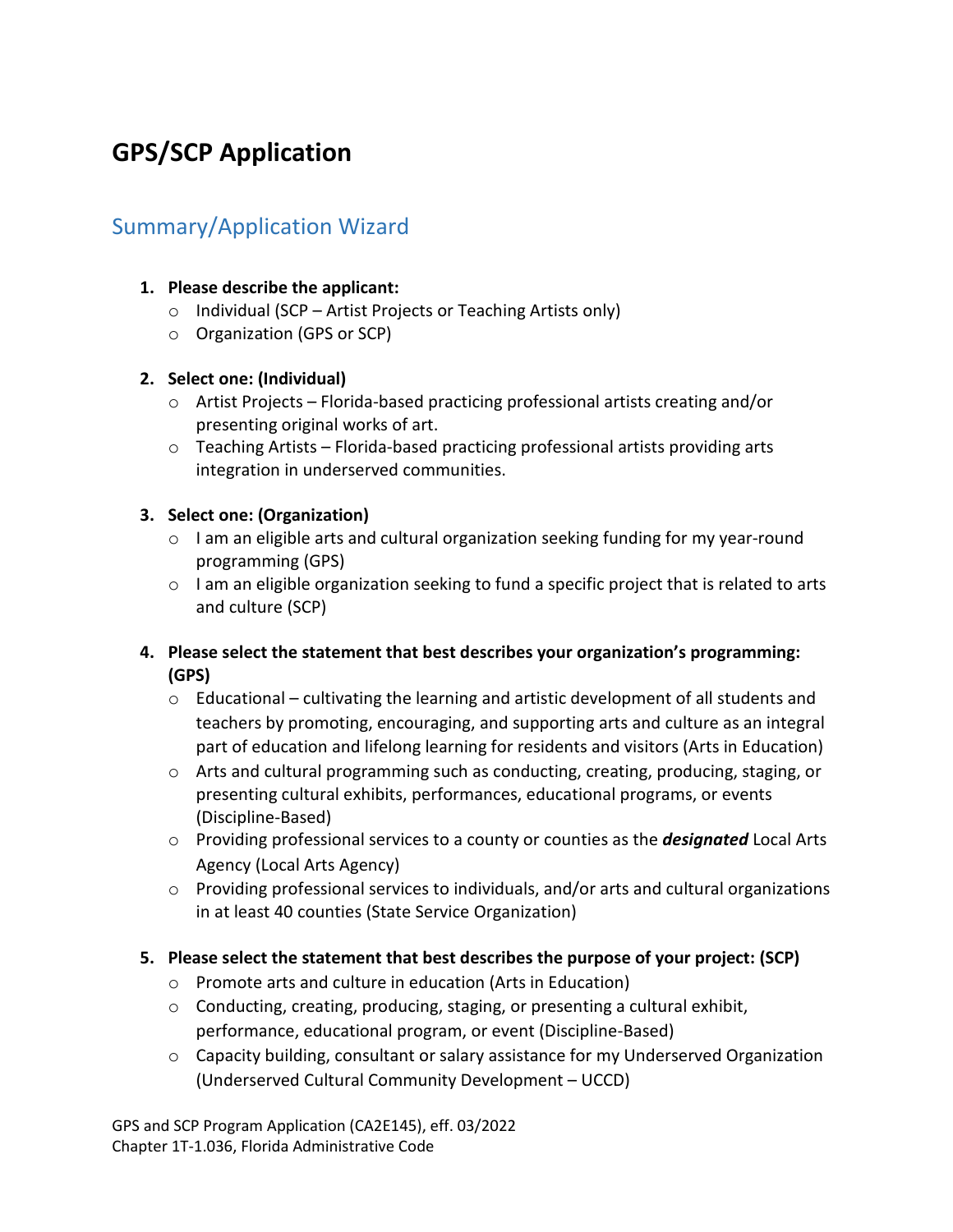# **GPS/SCP Application**

## Summary/Application Wizard

## **1. Please describe the applicant:**

- $\circ$  Individual (SCP Artist Projects or Teaching Artists only)
- o Organization (GPS or SCP)

## **2. Select one: (Individual)**

- o Artist Projects Florida-based practicing professional artists creating and/or presenting original works of art.
- $\circ$  Teaching Artists Florida-based practicing professional artists providing arts integration in underserved communities.

## **3. Select one: (Organization)**

- o I am an eligible arts and cultural organization seeking funding for my year-round programming (GPS)
- $\circ$  I am an eligible organization seeking to fund a specific project that is related to arts and culture (SCP)

## **4. Please select the statement that best describes your organization's programming: (GPS)**

- $\circ$  Educational cultivating the learning and artistic development of all students and teachers by promoting, encouraging, and supporting arts and culture as an integral part of education and lifelong learning for residents and visitors (Arts in Education)
- $\circ$  Arts and cultural programming such as conducting, creating, producing, staging, or presenting cultural exhibits, performances, educational programs, or events (Discipline-Based)
- o Providing professional services to a county or counties as the *designated* Local Arts Agency (Local Arts Agency)
- o Providing professional services to individuals, and/or arts and cultural organizations in at least 40 counties (State Service Organization)

## **5. Please select the statement that best describes the purpose of your project: (SCP)**

- o Promote arts and culture in education (Arts in Education)
- o Conducting, creating, producing, staging, or presenting a cultural exhibit, performance, educational program, or event (Discipline-Based)
- $\circ$  Capacity building, consultant or salary assistance for my Underserved Organization (Underserved Cultural Community Development – UCCD)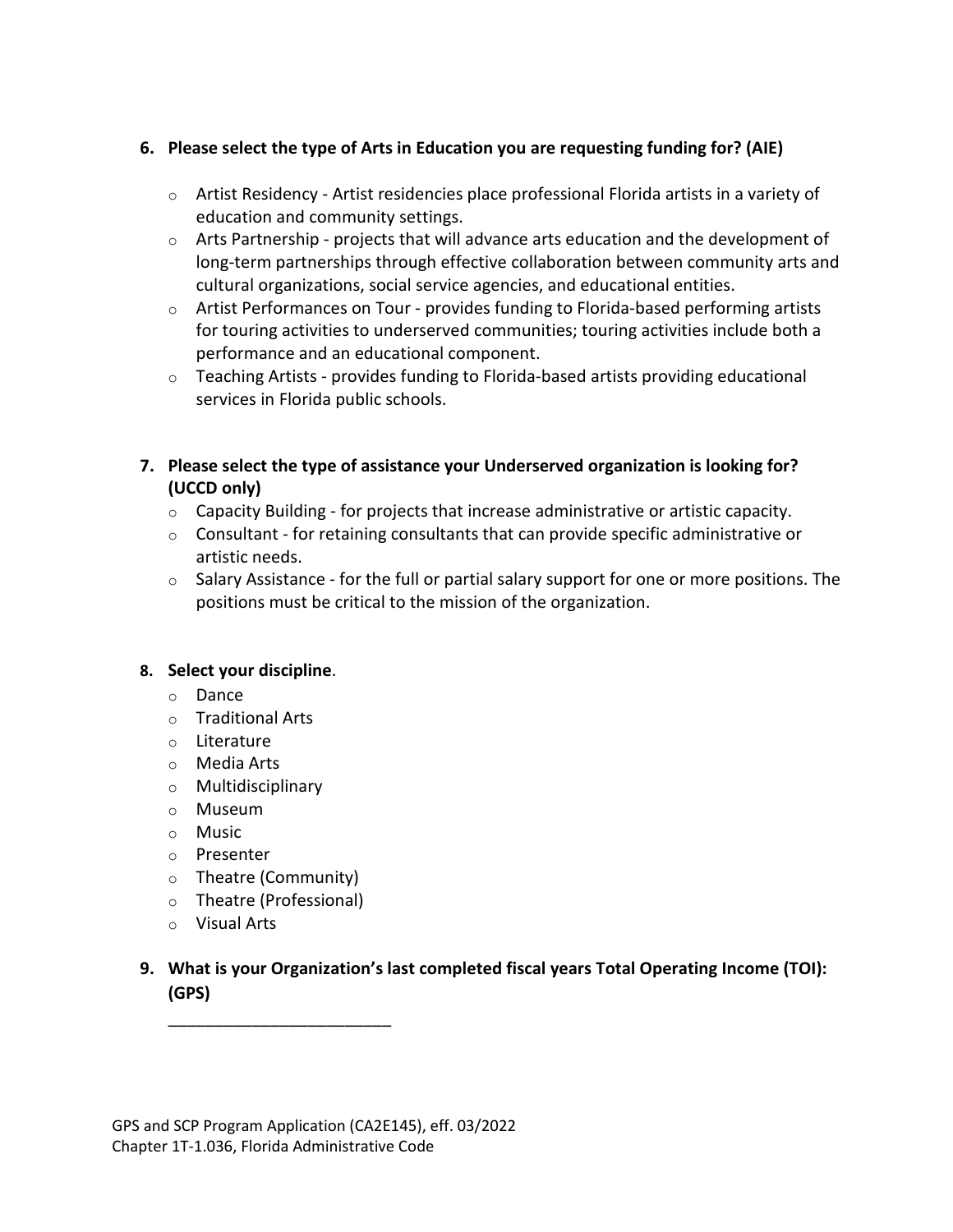## **6. Please select the type of Arts in Education you are requesting funding for? (AIE)**

- $\circ$  Artist Residency Artist residencies place professional Florida artists in a variety of education and community settings.
- o Arts Partnership projects that will advance arts education and the development of long-term partnerships through effective collaboration between community arts and cultural organizations, social service agencies, and educational entities.
- o Artist Performances on Tour provides funding to Florida-based performing artists for touring activities to underserved communities; touring activities include both a performance and an educational component.
- $\circ$  Teaching Artists provides funding to Florida-based artists providing educational services in Florida public schools.
- **7. Please select the type of assistance your Underserved organization is looking for? (UCCD only)**
	- $\circ$  Capacity Building for projects that increase administrative or artistic capacity.
	- $\circ$  Consultant for retaining consultants that can provide specific administrative or artistic needs.
	- $\circ$  Salary Assistance for the full or partial salary support for one or more positions. The positions must be critical to the mission of the organization.

## **8. Select your discipline**.

- o Dance
- o Traditional Arts
- o Literature
- o Media Arts
- o Multidisciplinary
- o Museum
- o Music
- o Presenter
- o Theatre (Community)
- o Theatre (Professional)

\_\_\_\_\_\_\_\_\_\_\_\_\_\_\_\_\_\_\_\_\_\_\_\_

- o Visual Arts
- **9. What is your Organization's last completed fiscal years Total Operating Income (TOI): (GPS)**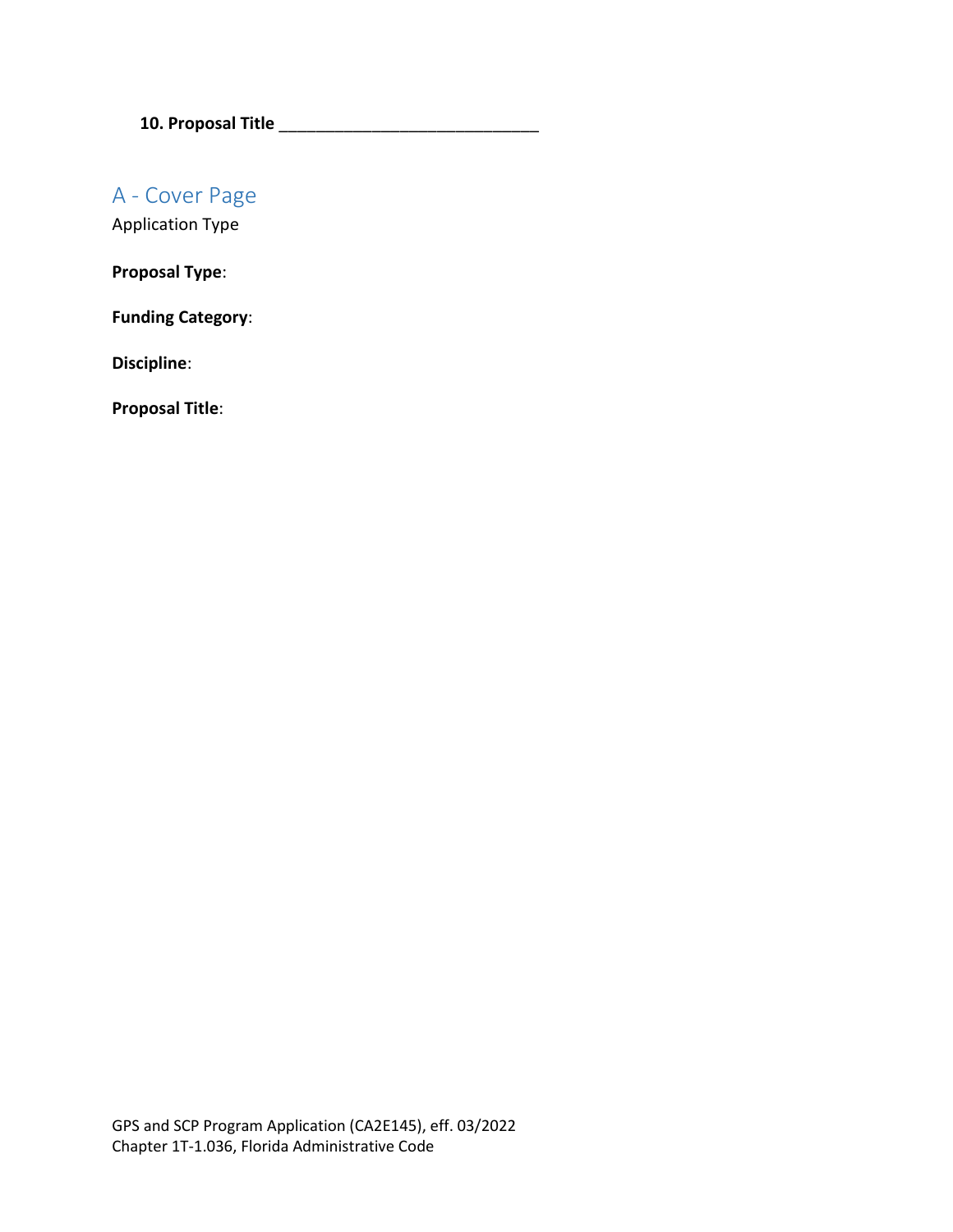**10. Proposal Title** \_\_\_\_\_\_\_\_\_\_\_\_\_\_\_\_\_\_\_\_\_\_\_\_\_\_\_\_

A - Cover Page

Application Type

**Proposal Type**:

**Funding Category**:

**Discipline**:

**Proposal Title**: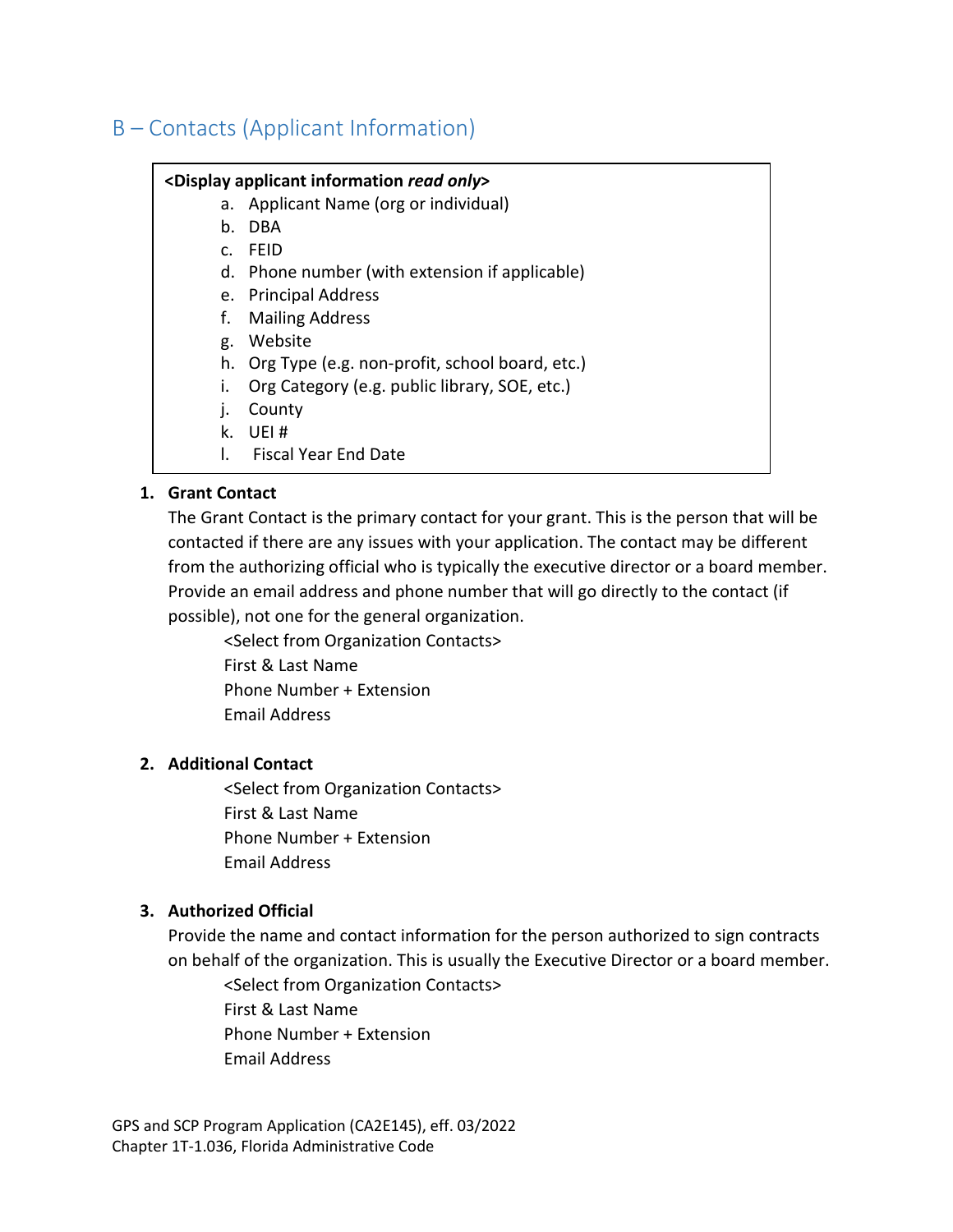## B – Contacts (Applicant Information)

#### **<Display applicant information** *read only***>**

- a. Applicant Name (org or individual)
- b. DBA
- c. FEID
- d. Phone number (with extension if applicable)
- e. Principal Address
- f. Mailing Address
- g. Website
- h. Org Type (e.g. non-profit, school board, etc.)
- i. Org Category (e.g. public library, SOE, etc.)
- j. County
- k. UEI #
- l. Fiscal Year End Date

#### **1. Grant Contact**

The Grant Contact is the primary contact for your grant. This is the person that will be contacted if there are any issues with your application. The contact may be different from the authorizing official who is typically the executive director or a board member. Provide an email address and phone number that will go directly to the contact (if possible), not one for the general organization.

<Select from Organization Contacts> First & Last Name Phone Number + Extension Email Address

## **2. Additional Contact**

<Select from Organization Contacts> First & Last Name Phone Number + Extension Email Address

## **3. Authorized Official**

Provide the name and contact information for the person authorized to sign contracts on behalf of the organization. This is usually the Executive Director or a board member.

<Select from Organization Contacts> First & Last Name

Phone Number + Extension

Email Address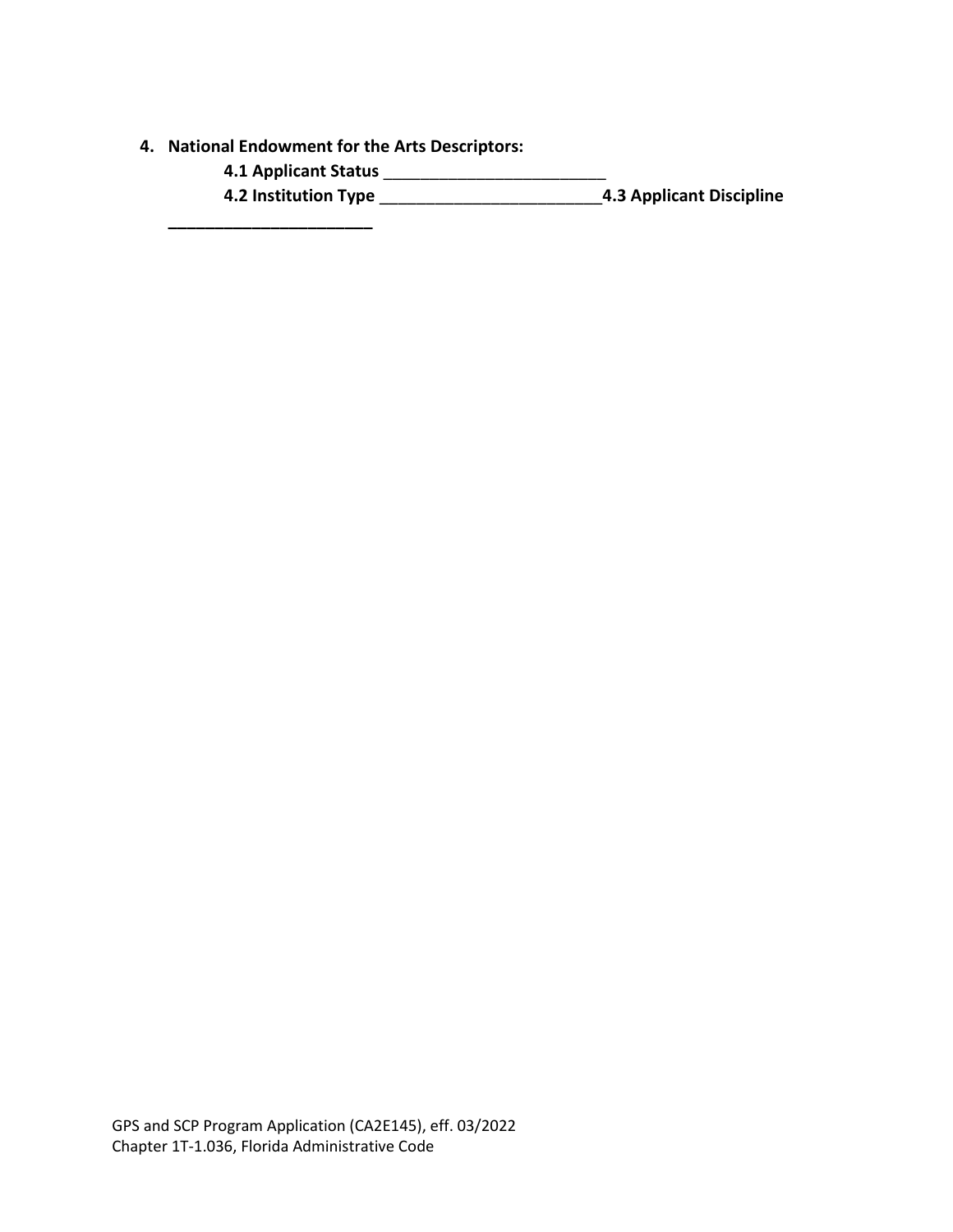- **4. National Endowment for the Arts Descriptors:**
	- **4.1 Applicant Status** \_\_\_\_\_\_\_\_\_\_\_\_\_\_\_\_\_\_\_\_\_\_\_\_

**\_\_\_\_\_\_\_\_\_\_\_\_\_\_\_\_\_\_\_\_\_\_**

**4.2 Institution Type** \_\_\_\_\_\_\_\_\_\_\_\_\_\_\_\_\_\_\_\_\_\_\_\_**4.3 Applicant Discipline**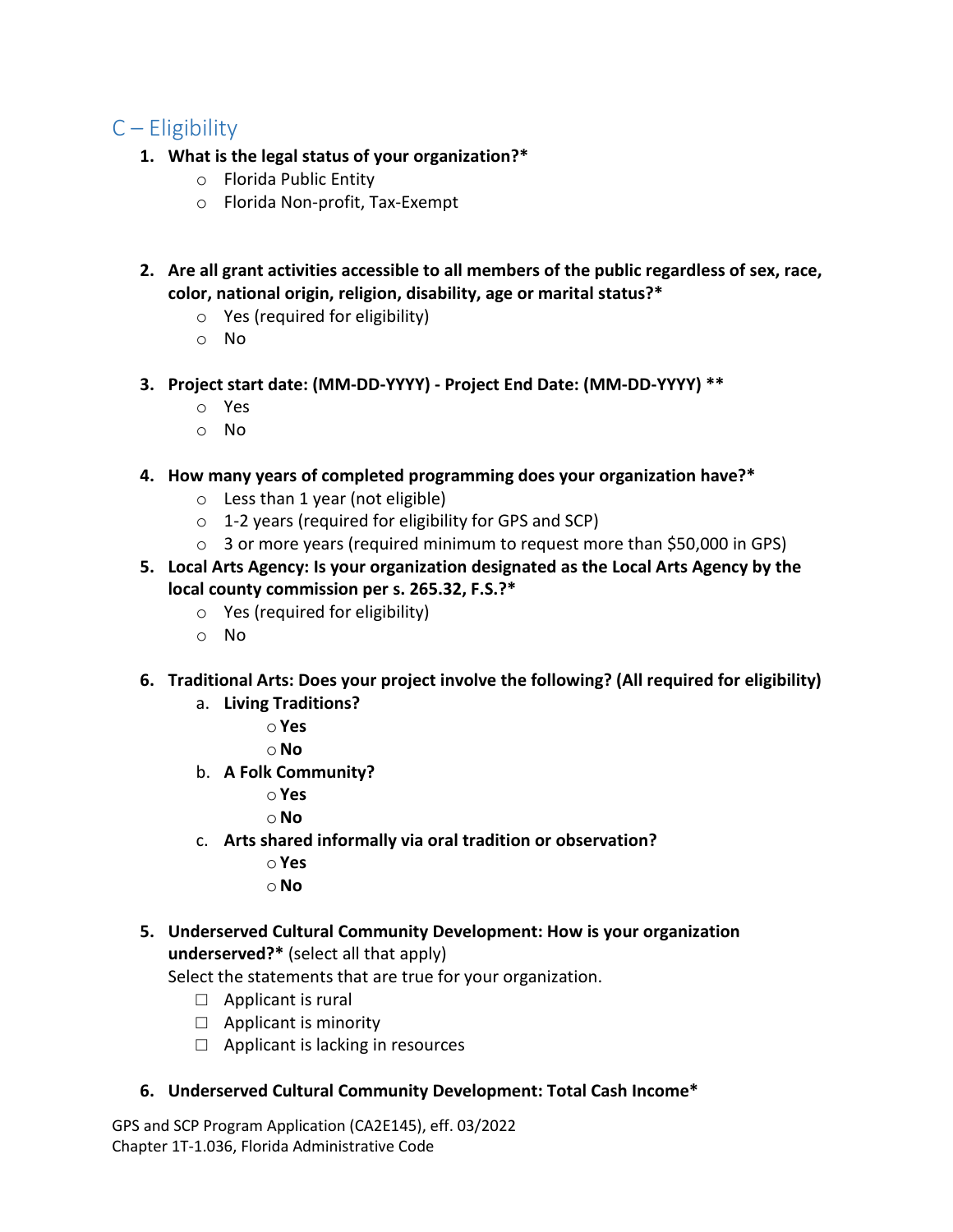## C – Eligibility

- **1. What is the legal status of your organization?\***
	- o Florida Public Entity
	- o Florida Non-profit, Tax-Exempt
- **2. Are all grant activities accessible to all members of the public regardless of sex, race, color, national origin, religion, disability, age or marital status?\***
	- o Yes (required for eligibility)
	- o No
- **3. Project start date: (MM-DD-YYYY) - Project End Date: (MM-DD-YYYY) \*\***
	- o Yes
	- o No
- **4. How many years of completed programming does your organization have?\***
	- o Less than 1 year (not eligible)
	- o 1-2 years (required for eligibility for GPS and SCP)
	- o 3 or more years (required minimum to request more than \$50,000 in GPS)
- **5. Local Arts Agency: Is your organization designated as the Local Arts Agency by the local county commission per s. 265.32, F.S.?\***
	- o Yes (required for eligibility)
	- o No
- **6. Traditional Arts: Does your project involve the following? (All required for eligibility)**
	- a. **Living Traditions?**
		- o**Yes**
		- o**No**
	- b. **A Folk Community?**
		- o**Yes**
		- o**No**
	- c. **Arts shared informally via oral tradition or observation?**
		- o **Yes**
		- o**No**
- **5. Underserved Cultural Community Development: How is your organization underserved?\*** (select all that apply)

Select the statements that are true for your organization.

- $\Box$  Applicant is rural
- $\Box$  Applicant is minority
- $\Box$  Applicant is lacking in resources
- **6. Underserved Cultural Community Development: Total Cash Income\***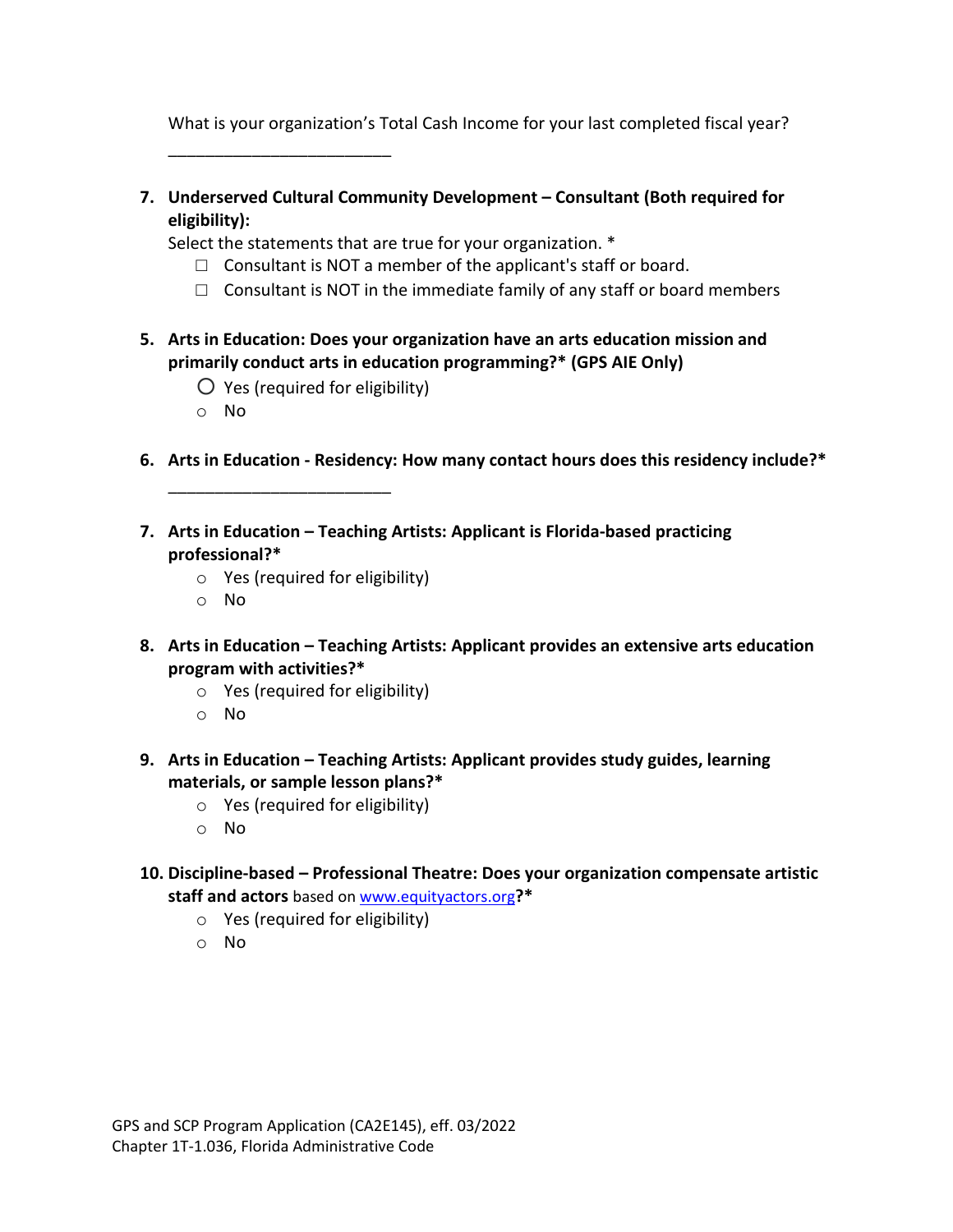What is your organization's Total Cash Income for your last completed fiscal year?

\_\_\_\_\_\_\_\_\_\_\_\_\_\_\_\_\_\_\_\_\_\_\_\_

**7. Underserved Cultural Community Development – Consultant (Both required for eligibility):**

Select the statements that are true for your organization. \*

- $\Box$  Consultant is NOT a member of the applicant's staff or board.
- $\Box$  Consultant is NOT in the immediate family of any staff or board members
- **5. Arts in Education: Does your organization have an arts education mission and primarily conduct arts in education programming?\* (GPS AIE Only)**
	- $\bigcirc$  Yes (required for eligibility)

\_\_\_\_\_\_\_\_\_\_\_\_\_\_\_\_\_\_\_\_\_\_\_\_

- o No
- **6. Arts in Education - Residency: How many contact hours does this residency include?\***
- **7. Arts in Education – Teaching Artists: Applicant is Florida-based practicing professional?\***
	- o Yes (required for eligibility)
	- o No
- **8. Arts in Education – Teaching Artists: Applicant provides an extensive arts education program with activities?\***
	- o Yes (required for eligibility)
	- o No
- **9. Arts in Education – Teaching Artists: Applicant provides study guides, learning materials, or sample lesson plans?\***
	- o Yes (required for eligibility)
	- o No
- **10. Discipline-based – Professional Theatre: Does your organization compensate artistic staff and actors** based on [www.equityactors.org](http://www.equityactors.org/)**?\***
	- o Yes (required for eligibility)
	- o No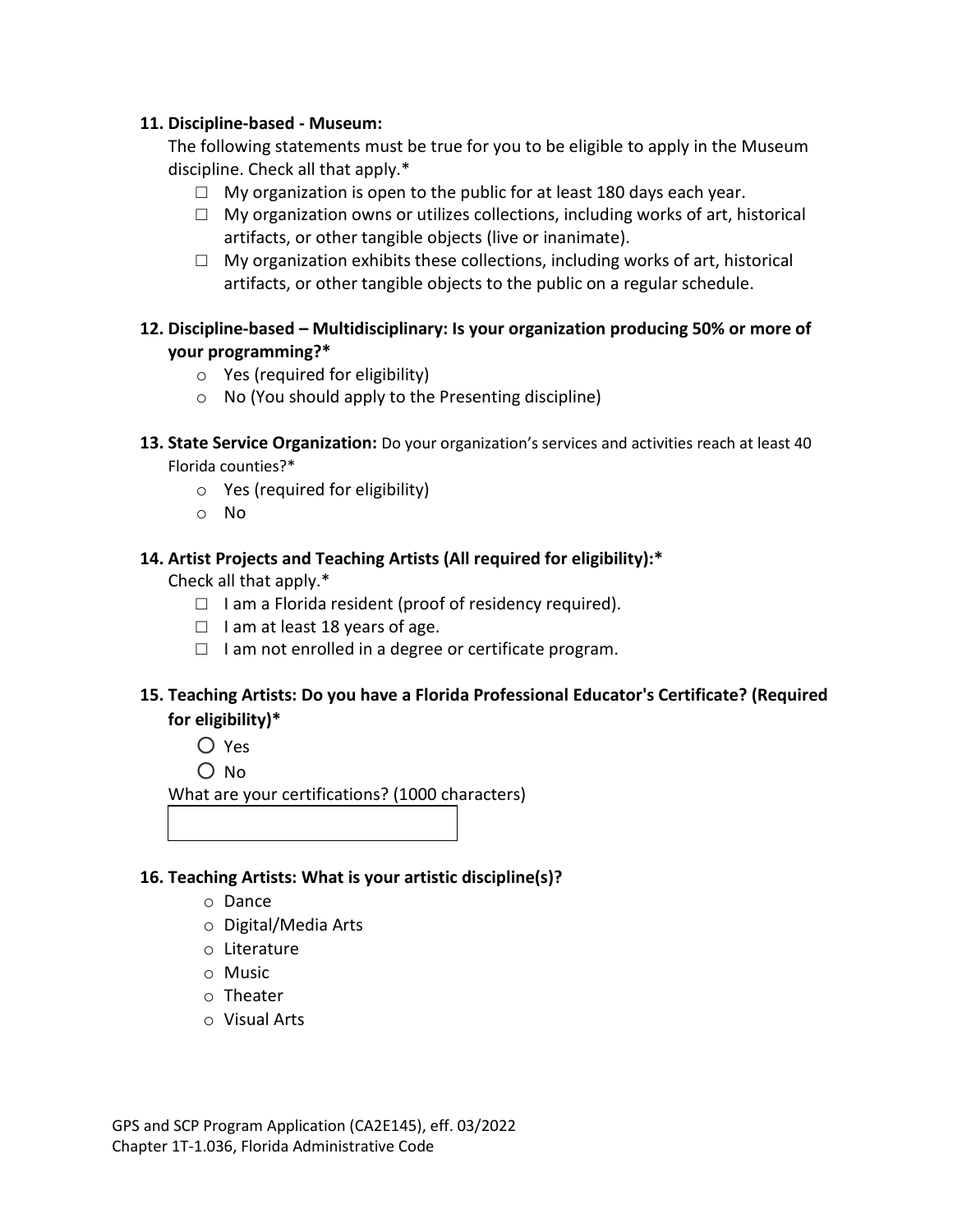#### **11. Discipline-based - Museum:**

The following statements must be true for you to be eligible to apply in the Museum discipline. Check all that apply.\*

- $\Box$  My organization is open to the public for at least 180 days each year.
- $\Box$  My organization owns or utilizes collections, including works of art, historical artifacts, or other tangible objects (live or inanimate).
- $\Box$  My organization exhibits these collections, including works of art, historical artifacts, or other tangible objects to the public on a regular schedule.
- **12. Discipline-based – Multidisciplinary: Is your organization producing 50% or more of your programming?\***
	- o Yes (required for eligibility)
	- o No (You should apply to the Presenting discipline)
- **13. State Service Organization:** Do your organization's services and activities reach at least 40 Florida counties?\*
	- o Yes (required for eligibility)
	- o No

#### **14. Artist Projects and Teaching Artists (All required for eligibility):\***

Check all that apply.\*

- $\Box$  I am a Florida resident (proof of residency required).
- $\Box$  I am at least 18 years of age.
- $\Box$  I am not enrolled in a degree or certificate program.

## **15. Teaching Artists: Do you have a Florida Professional Educator's Certificate? (Required for eligibility)\***

- Yes
- No

What are your certifications? (1000 characters)

#### **16. Teaching Artists: What is your artistic discipline(s)?**

- o Dance
- o Digital/Media Arts
- o Literature
- o Music
- o Theater
- o Visual Arts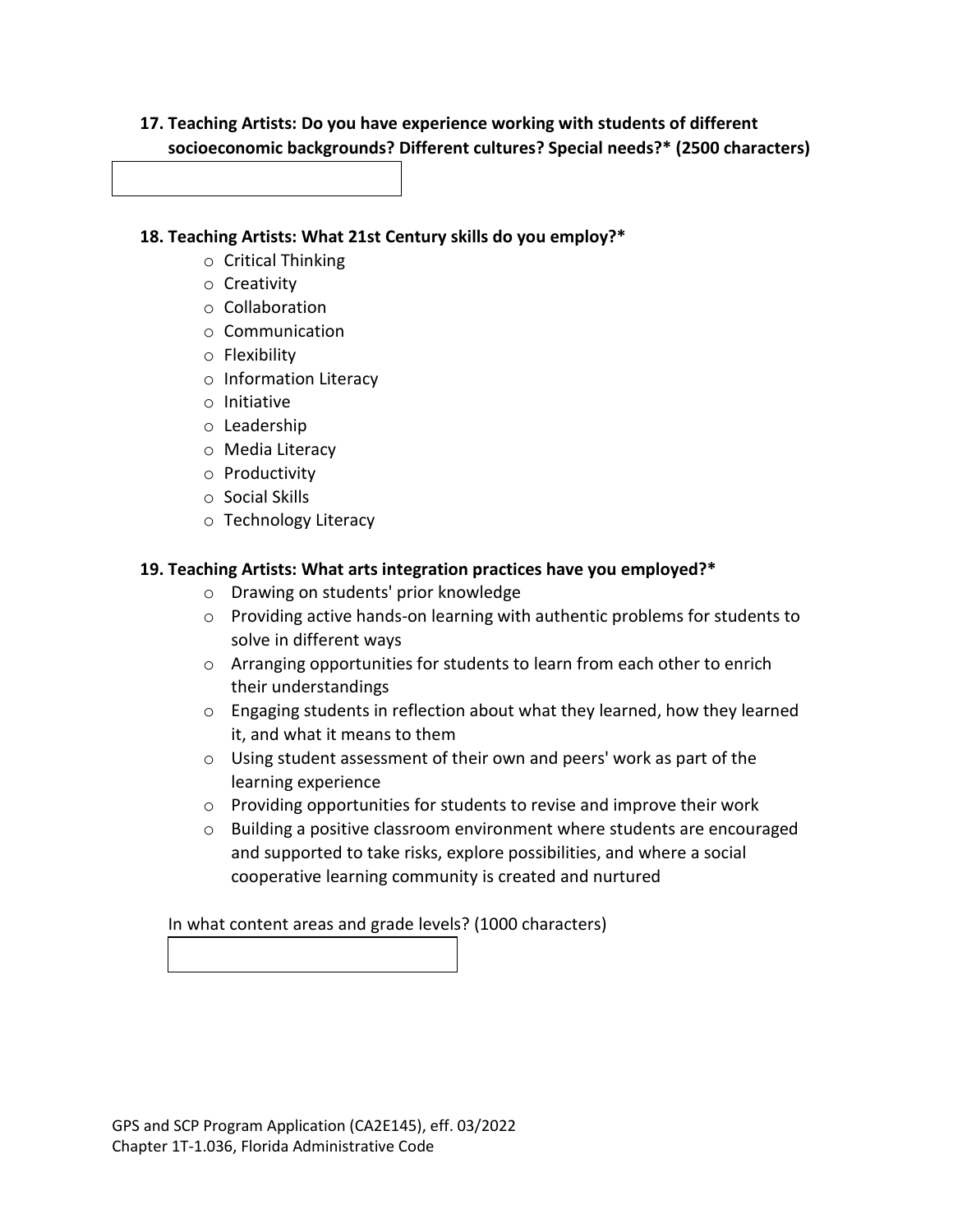## **17. Teaching Artists: Do you have experience working with students of different socioeconomic backgrounds? Different cultures? Special needs?\* (2500 characters)**

**18. Teaching Artists: What 21st Century skills do you employ?\***

- o Critical Thinking
- o Creativity
- o Collaboration
- o Communication
- o Flexibility
- o Information Literacy
- o Initiative
- o Leadership
- o Media Literacy
- o Productivity
- o Social Skills
- o Technology Literacy

## **19. Teaching Artists: What arts integration practices have you employed?\***

- o Drawing on students' prior knowledge
- o Providing active hands-on learning with authentic problems for students to solve in different ways
- o Arranging opportunities for students to learn from each other to enrich their understandings
- o Engaging students in reflection about what they learned, how they learned it, and what it means to them
- o Using student assessment of their own and peers' work as part of the learning experience
- o Providing opportunities for students to revise and improve their work
- $\circ$  Building a positive classroom environment where students are encouraged and supported to take risks, explore possibilities, and where a social cooperative learning community is created and nurtured

In what content areas and grade levels? (1000 characters)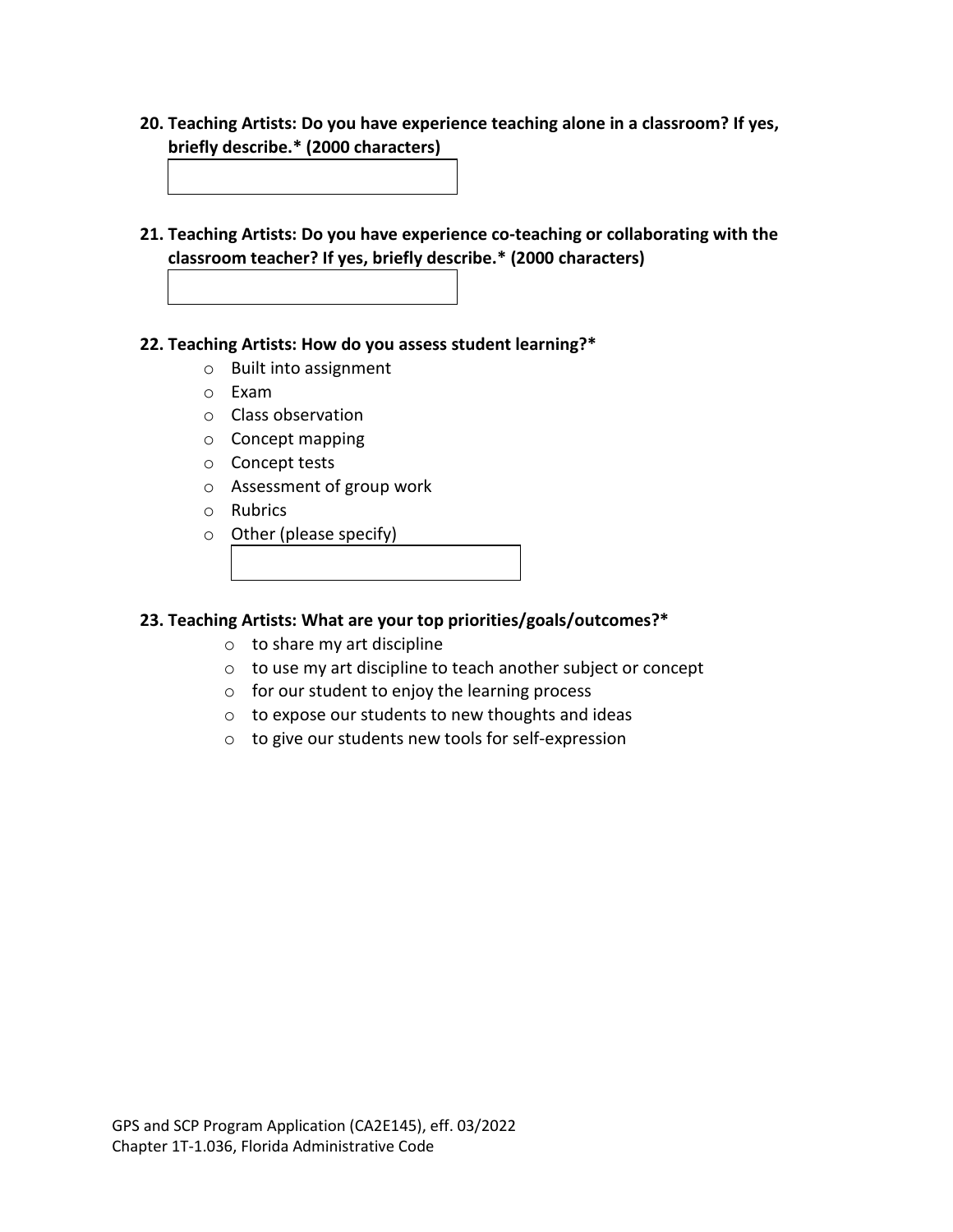**20. Teaching Artists: Do you have experience teaching alone in a classroom? If yes, briefly describe.\* (2000 characters)**

**21. Teaching Artists: Do you have experience co-teaching or collaborating with the classroom teacher? If yes, briefly describe.\* (2000 characters)**

#### **22. Teaching Artists: How do you assess student learning?\***

- o Built into assignment
- o Exam
- o Class observation
- o Concept mapping
- o Concept tests
- o Assessment of group work
- o Rubrics
- o Other (please specify)

#### **23. Teaching Artists: What are your top priorities/goals/outcomes?\***

- o to share my art discipline
- o to use my art discipline to teach another subject or concept
- o for our student to enjoy the learning process
- o to expose our students to new thoughts and ideas
- o to give our students new tools for self-expression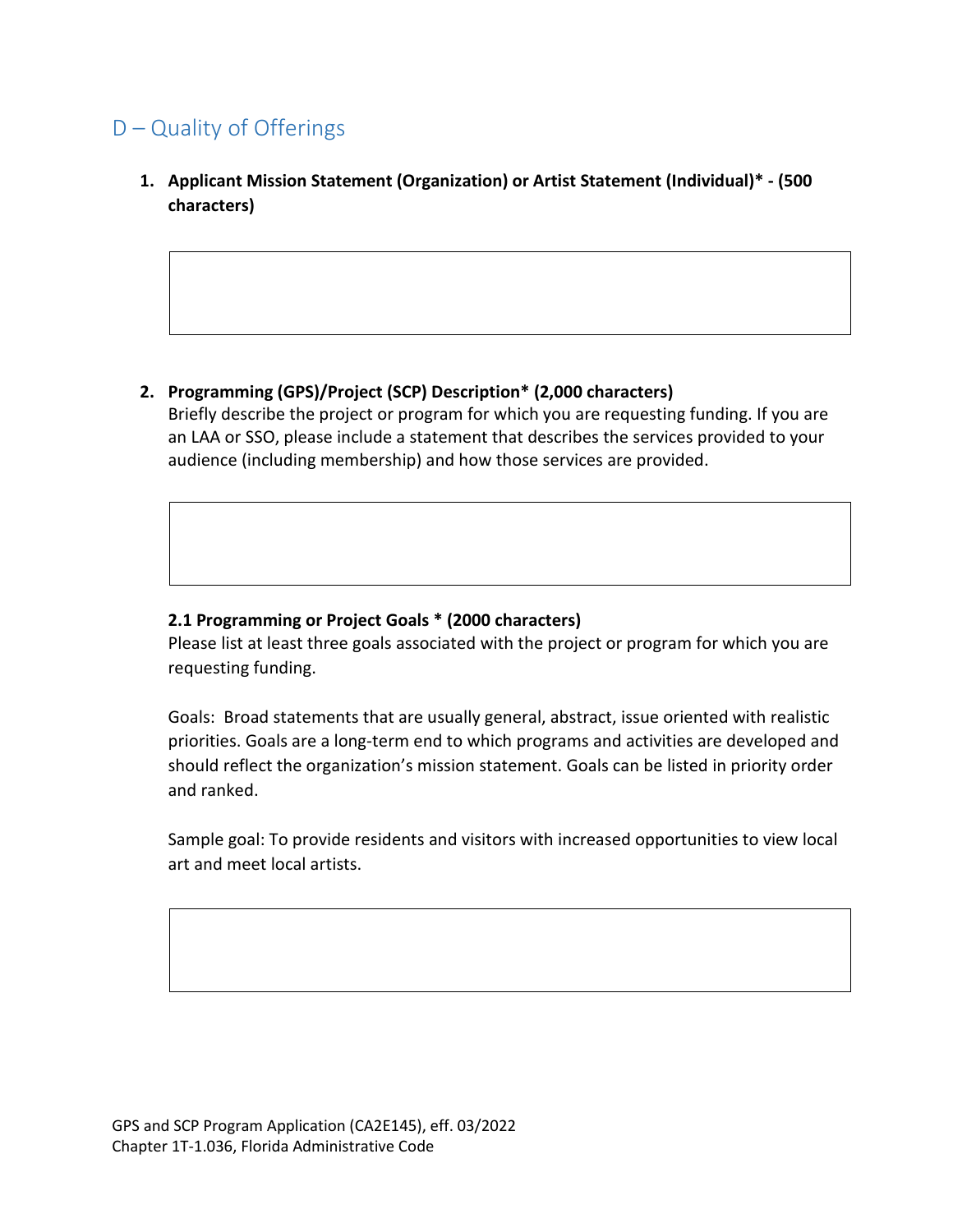## D – Quality of Offerings

**1. Applicant Mission Statement (Organization) or Artist Statement (Individual)\* - (500 characters)**

## **2. Programming (GPS)/Project (SCP) Description\* (2,000 characters)**

Briefly describe the project or program for which you are requesting funding. If you are an LAA or SSO, please include a statement that describes the services provided to your audience (including membership) and how those services are provided.

## **2.1 Programming or Project Goals \* (2000 characters)**

Please list at least three goals associated with the project or program for which you are requesting funding.

Goals: Broad statements that are usually general, abstract, issue oriented with realistic priorities. Goals are a long-term end to which programs and activities are developed and should reflect the organization's mission statement. Goals can be listed in priority order and ranked.

Sample goal: To provide residents and visitors with increased opportunities to view local art and meet local artists.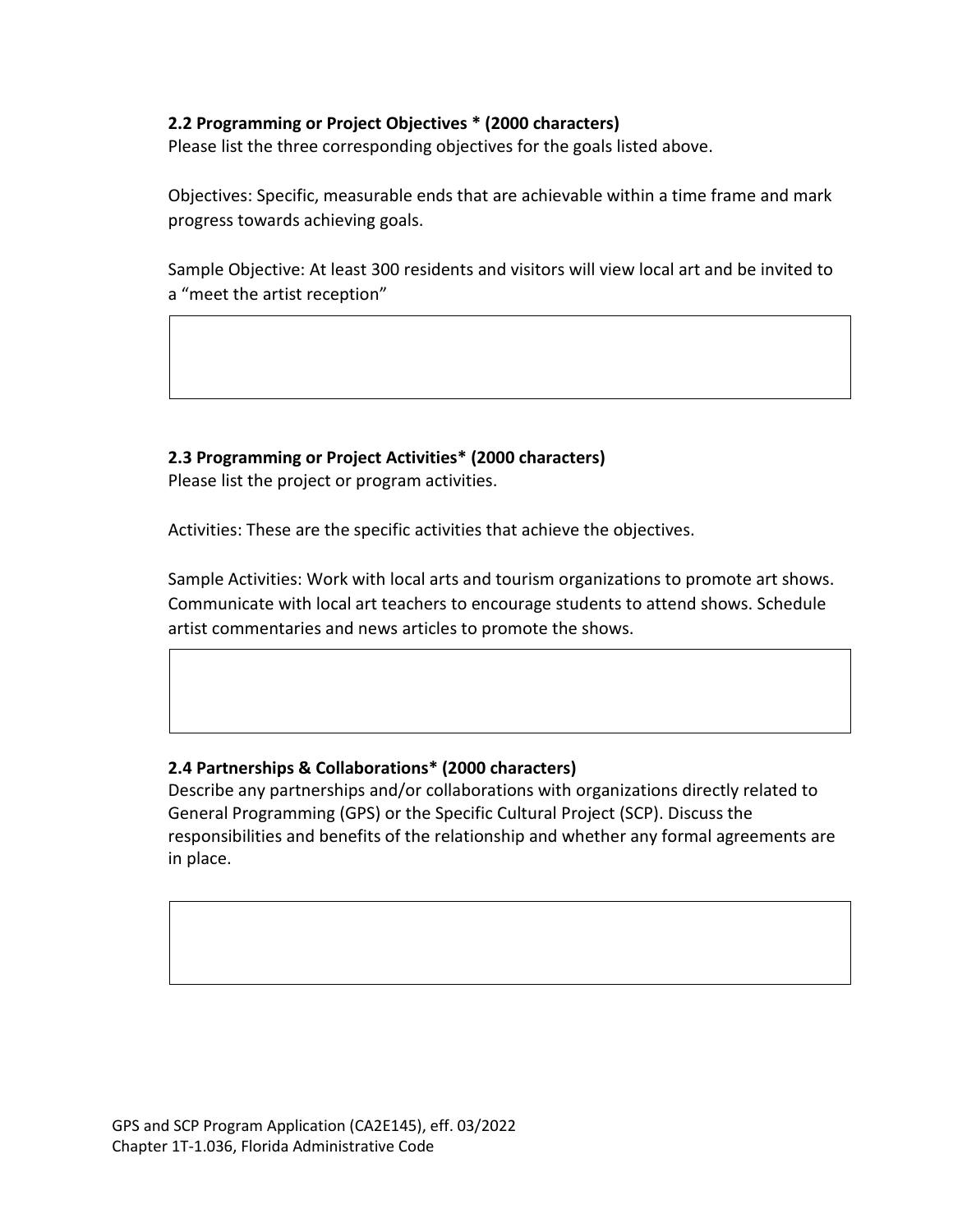#### **2.2 Programming or Project Objectives \* (2000 characters)**

Please list the three corresponding objectives for the goals listed above.

Objectives: Specific, measurable ends that are achievable within a time frame and mark progress towards achieving goals.

Sample Objective: At least 300 residents and visitors will view local art and be invited to a "meet the artist reception"

**2.3 Programming or Project Activities\* (2000 characters)** Please list the project or program activities.

Activities: These are the specific activities that achieve the objectives.

Sample Activities: Work with local arts and tourism organizations to promote art shows. Communicate with local art teachers to encourage students to attend shows. Schedule artist commentaries and news articles to promote the shows.

#### **2.4 Partnerships & Collaborations\* (2000 characters)**

Describe any partnerships and/or collaborations with organizations directly related to General Programming (GPS) or the Specific Cultural Project (SCP). Discuss the responsibilities and benefits of the relationship and whether any formal agreements are in place.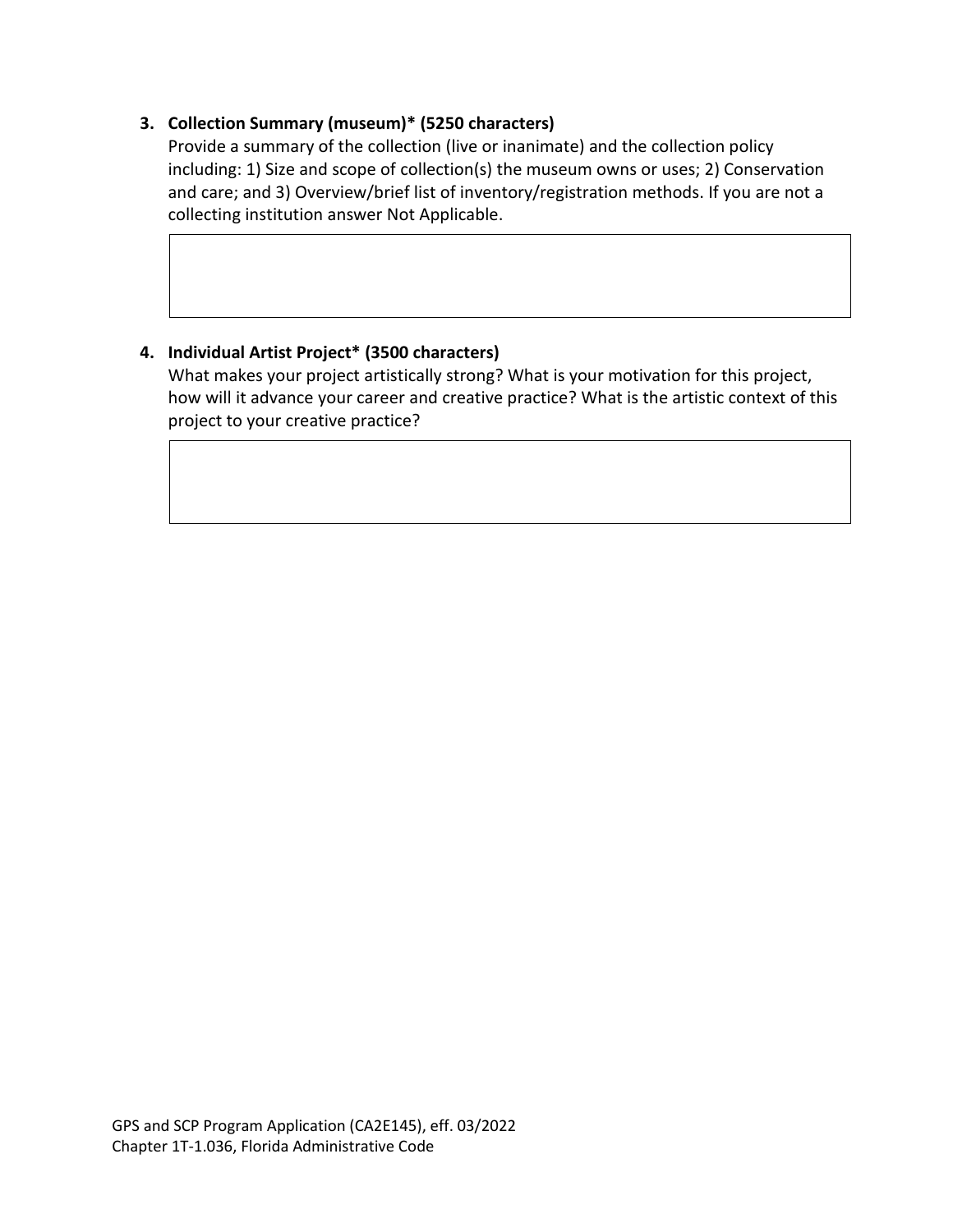## **3. Collection Summary (museum)\* (5250 characters)**

Provide a summary of the collection (live or inanimate) and the collection policy including: 1) Size and scope of collection(s) the museum owns or uses; 2) Conservation and care; and 3) Overview/brief list of inventory/registration methods. If you are not a collecting institution answer Not Applicable.

## **4. Individual Artist Project\* (3500 characters)**

What makes your project artistically strong? What is your motivation for this project, how will it advance your career and creative practice? What is the artistic context of this project to your creative practice?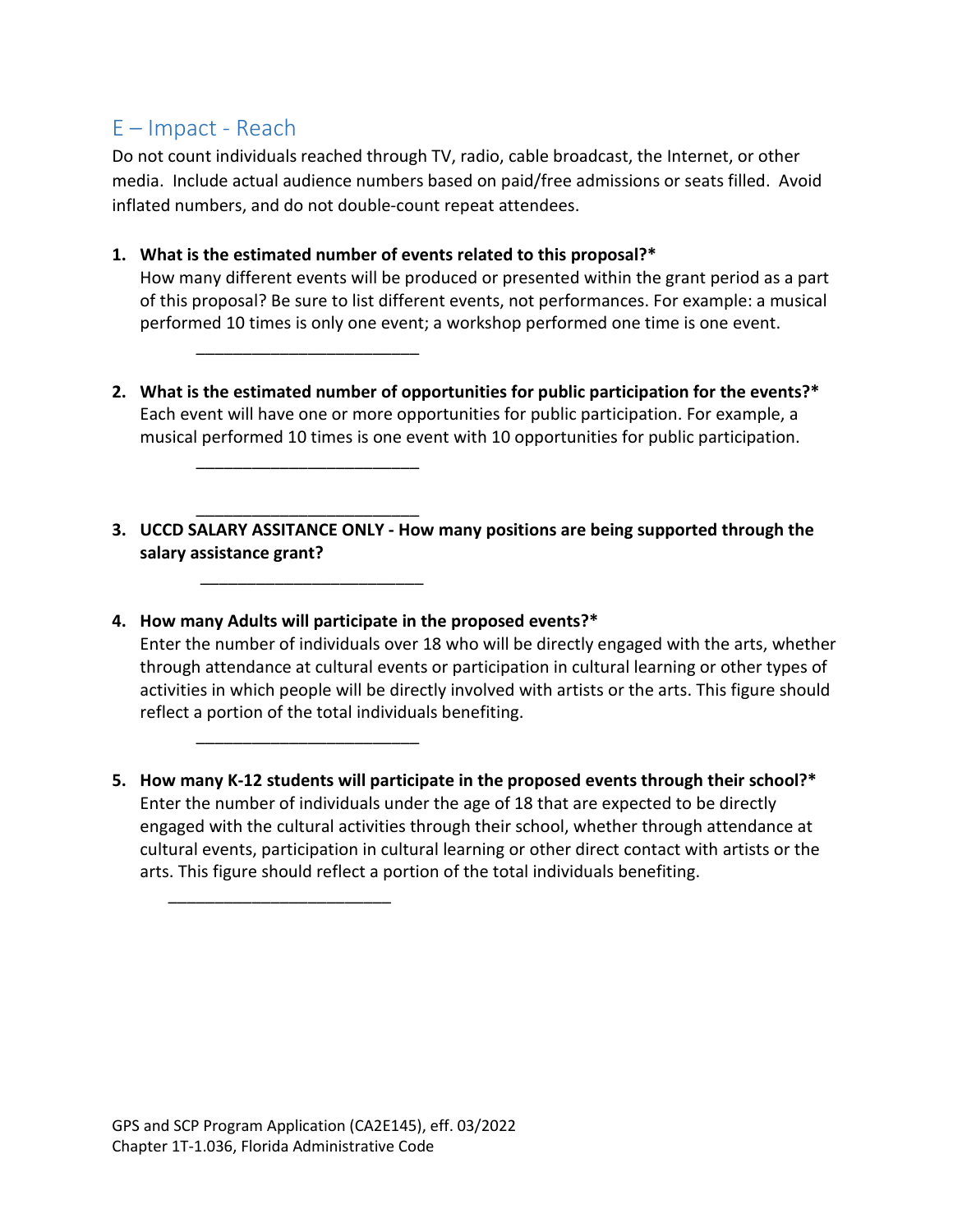## E – Impact - Reach

Do not count individuals reached through TV, radio, cable broadcast, the Internet, or other media. Include actual audience numbers based on paid/free admissions or seats filled. Avoid inflated numbers, and do not double-count repeat attendees.

## **1. What is the estimated number of events related to this proposal?\***

How many different events will be produced or presented within the grant period as a part of this proposal? Be sure to list different events, not performances. For example: a musical performed 10 times is only one event; a workshop performed one time is one event.

- **2. What is the estimated number of opportunities for public participation for the events?\***  Each event will have one or more opportunities for public participation. For example, a musical performed 10 times is one event with 10 opportunities for public participation.
- **3. UCCD SALARY ASSITANCE ONLY - How many positions are being supported through the salary assistance grant?**

\_\_\_\_\_\_\_\_\_\_\_\_\_\_\_\_\_\_\_\_\_\_\_\_

\_\_\_\_\_\_\_\_\_\_\_\_\_\_\_\_\_\_\_\_\_\_\_\_

\_\_\_\_\_\_\_\_\_\_\_\_\_\_\_\_\_\_\_\_\_\_\_\_

\_\_\_\_\_\_\_\_\_\_\_\_\_\_\_\_\_\_\_\_\_\_\_\_

\_\_\_\_\_\_\_\_\_\_\_\_\_\_\_\_\_\_\_\_\_\_\_\_

\_\_\_\_\_\_\_\_\_\_\_\_\_\_\_\_\_\_\_\_\_\_\_\_

## **4. How many Adults will participate in the proposed events?\***

Enter the number of individuals over 18 who will be directly engaged with the arts, whether through attendance at cultural events or participation in cultural learning or other types of activities in which people will be directly involved with artists or the arts. This figure should reflect a portion of the total individuals benefiting.

**5. How many K-12 students will participate in the proposed events through their school?\*** Enter the number of individuals under the age of 18 that are expected to be directly engaged with the cultural activities through their school, whether through attendance at cultural events, participation in cultural learning or other direct contact with artists or the arts. This figure should reflect a portion of the total individuals benefiting.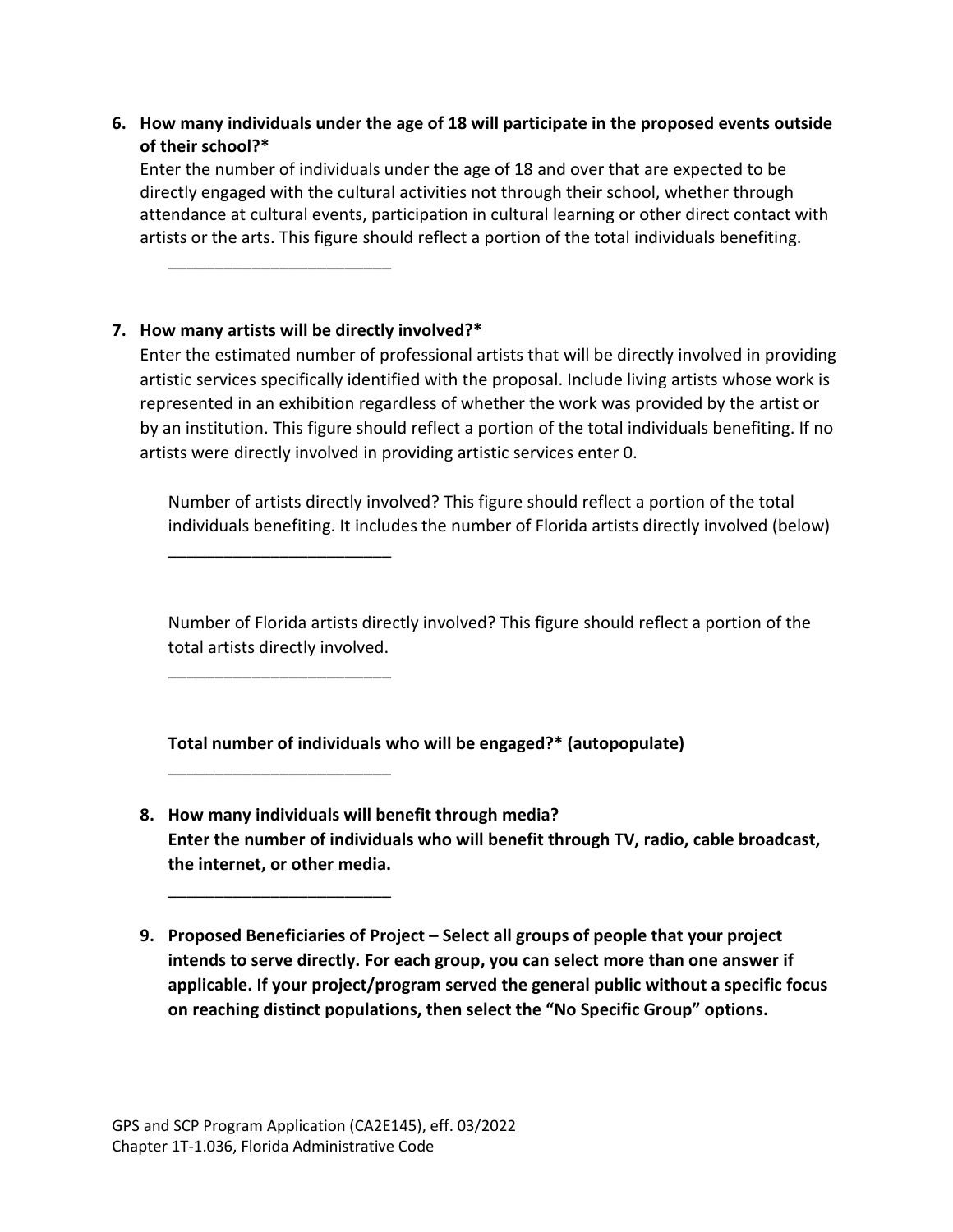**6. How many individuals under the age of 18 will participate in the proposed events outside of their school?\***

Enter the number of individuals under the age of 18 and over that are expected to be directly engaged with the cultural activities not through their school, whether through attendance at cultural events, participation in cultural learning or other direct contact with artists or the arts. This figure should reflect a portion of the total individuals benefiting.

## **7. How many artists will be directly involved?\***

\_\_\_\_\_\_\_\_\_\_\_\_\_\_\_\_\_\_\_\_\_\_\_\_

\_\_\_\_\_\_\_\_\_\_\_\_\_\_\_\_\_\_\_\_\_\_\_\_

\_\_\_\_\_\_\_\_\_\_\_\_\_\_\_\_\_\_\_\_\_\_\_\_

\_\_\_\_\_\_\_\_\_\_\_\_\_\_\_\_\_\_\_\_\_\_\_\_

\_\_\_\_\_\_\_\_\_\_\_\_\_\_\_\_\_\_\_\_\_\_\_\_

Enter the estimated number of professional artists that will be directly involved in providing artistic services specifically identified with the proposal. Include living artists whose work is represented in an exhibition regardless of whether the work was provided by the artist or by an institution. This figure should reflect a portion of the total individuals benefiting. If no artists were directly involved in providing artistic services enter 0.

Number of artists directly involved? This figure should reflect a portion of the total individuals benefiting. It includes the number of Florida artists directly involved (below)

Number of Florida artists directly involved? This figure should reflect a portion of the total artists directly involved.

**Total number of individuals who will be engaged?\* (autopopulate)**

- **8. How many individuals will benefit through media? Enter the number of individuals who will benefit through TV, radio, cable broadcast, the internet, or other media.**
- **9. Proposed Beneficiaries of Project – Select all groups of people that your project intends to serve directly. For each group, you can select more than one answer if applicable. If your project/program served the general public without a specific focus on reaching distinct populations, then select the "No Specific Group" options.**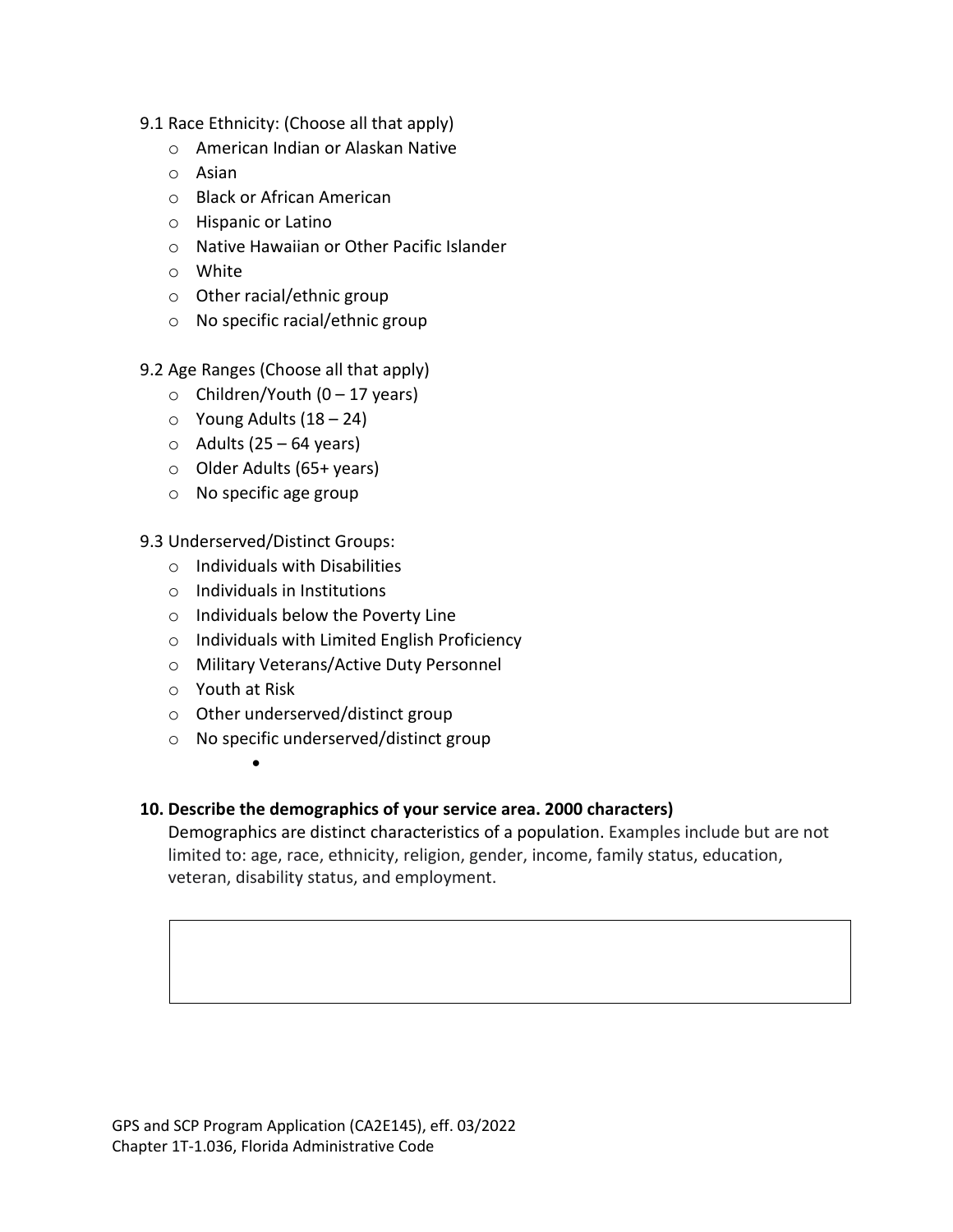- 9.1 Race Ethnicity: (Choose all that apply)
	- o American Indian or Alaskan Native
	- o Asian
	- o Black or African American
	- o Hispanic or Latino
	- o Native Hawaiian or Other Pacific Islander
	- o White
	- o Other racial/ethnic group
	- o No specific racial/ethnic group

9.2 Age Ranges (Choose all that apply)

- $\circ$  Children/Youth (0 17 years)
- $\circ$  Young Adults (18 24)
- $\circ$  Adults (25 64 years)
- o Older Adults (65+ years)
- o No specific age group

9.3 Underserved/Distinct Groups:

- o Individuals with Disabilities
- o Individuals in Institutions
- o Individuals below the Poverty Line
- o Individuals with Limited English Proficiency
- o Military Veterans/Active Duty Personnel
- o Youth at Risk
- o Other underserved/distinct group
- o No specific underserved/distinct group
	- •

## **10. Describe the demographics of your service area. 2000 characters)**

Demographics are distinct characteristics of a population. Examples include but are not limited to: age, race, ethnicity, religion, gender, income, family status, education, veteran, disability status, and employment.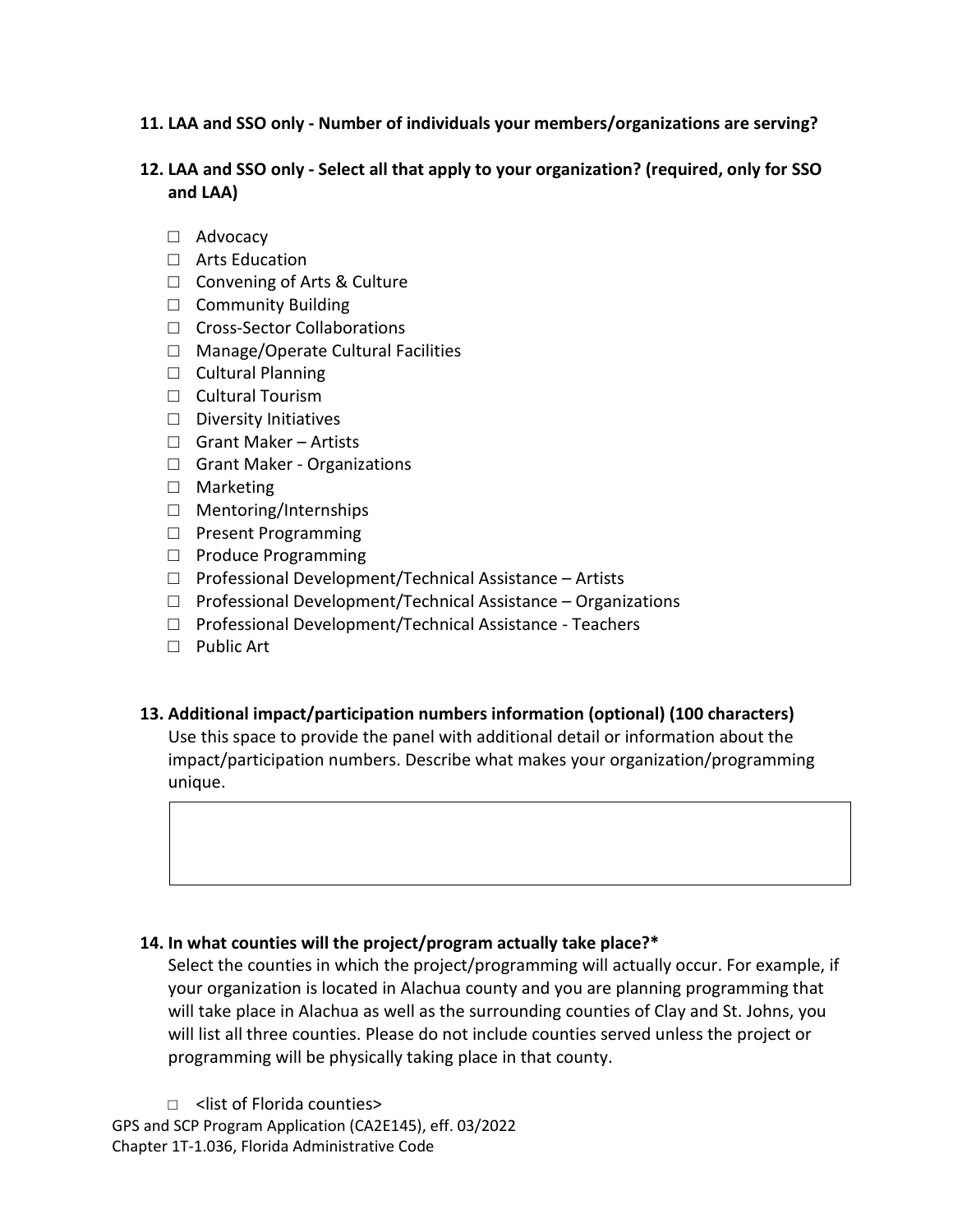## **11. LAA and SSO only - Number of individuals your members/organizations are serving?**

## **12. LAA and SSO only - Select all that apply to your organization? (required, only for SSO and LAA)**

- □ Advocacy
- □ Arts Education
- □ Convening of Arts & Culture
- □ Community Building
- □ Cross-Sector Collaborations
- □ Manage/Operate Cultural Facilities
- □ Cultural Planning
- □ Cultural Tourism
- □ Diversity Initiatives
- □ Grant Maker Artists
- □ Grant Maker Organizations
- □ Marketing
- □ Mentoring/Internships
- □ Present Programming
- □ Produce Programming
- □ Professional Development/Technical Assistance Artists
- $\Box$  Professional Development/Technical Assistance Organizations
- □ Professional Development/Technical Assistance Teachers
- □ Public Art

## **13. Additional impact/participation numbers information (optional) (100 characters)**

Use this space to provide the panel with additional detail or information about the impact/participation numbers. Describe what makes your organization/programming unique.

## **14. In what counties will the project/program actually take place?\***

Select the counties in which the project/programming will actually occur. For example, if your organization is located in Alachua county and you are planning programming that will take place in Alachua as well as the surrounding counties of Clay and St. Johns, you will list all three counties. Please do not include counties served unless the project or programming will be physically taking place in that county.

GPS and SCP Program Application (CA2E145), eff. 03/2022 Chapter 1T-1.036, Florida Administrative Code □ <list of Florida counties>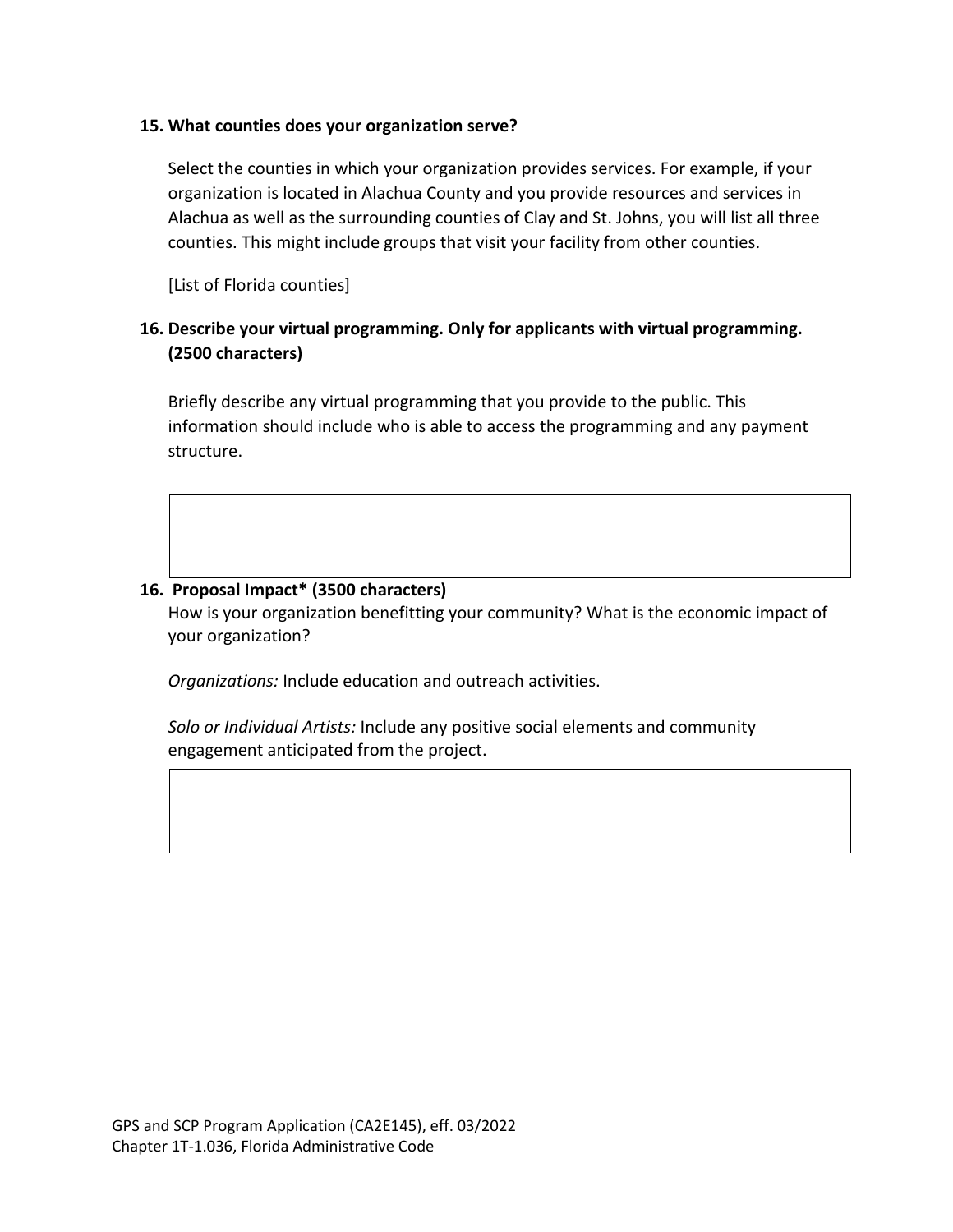#### **15. What counties does your organization serve?**

Select the counties in which your organization provides services. For example, if your organization is located in Alachua County and you provide resources and services in Alachua as well as the surrounding counties of Clay and St. Johns, you will list all three counties. This might include groups that visit your facility from other counties.

[List of Florida counties]

## **16. Describe your virtual programming. Only for applicants with virtual programming. (2500 characters)**

Briefly describe any virtual programming that you provide to the public. This information should include who is able to access the programming and any payment structure.

## **16. Proposal Impact\* (3500 characters)**

How is your organization benefitting your community? What is the economic impact of your organization?

*Organizations:* Include education and outreach activities.

*Solo or Individual Artists:* Include any positive social elements and community engagement anticipated from the project.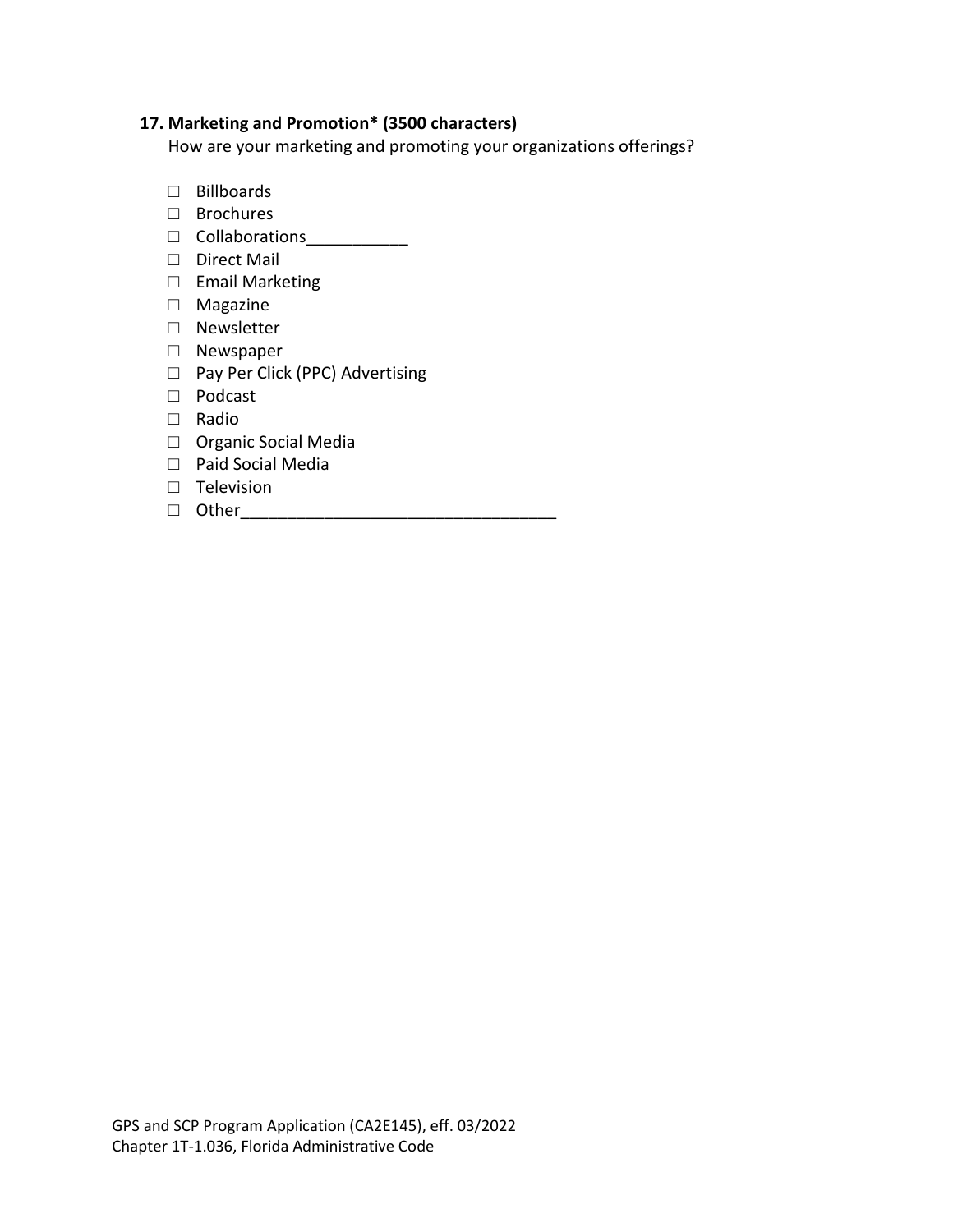## **17. Marketing and Promotion\* (3500 characters)**

How are your marketing and promoting your organizations offerings?

- □ Billboards
- □ Brochures
- □ Collaborations<br>□
- □ Direct Mail
- □ Email Marketing
- □ Magazine
- □ Newsletter
- □ Newspaper
- □ Pay Per Click (PPC) Advertising
- □ Podcast
- □ Radio
- □ Organic Social Media
- □ Paid Social Media
- □ Television
- □ Other\_\_\_\_\_\_\_\_\_\_\_\_\_\_\_\_\_\_\_\_\_\_\_\_\_\_\_\_\_\_\_\_\_\_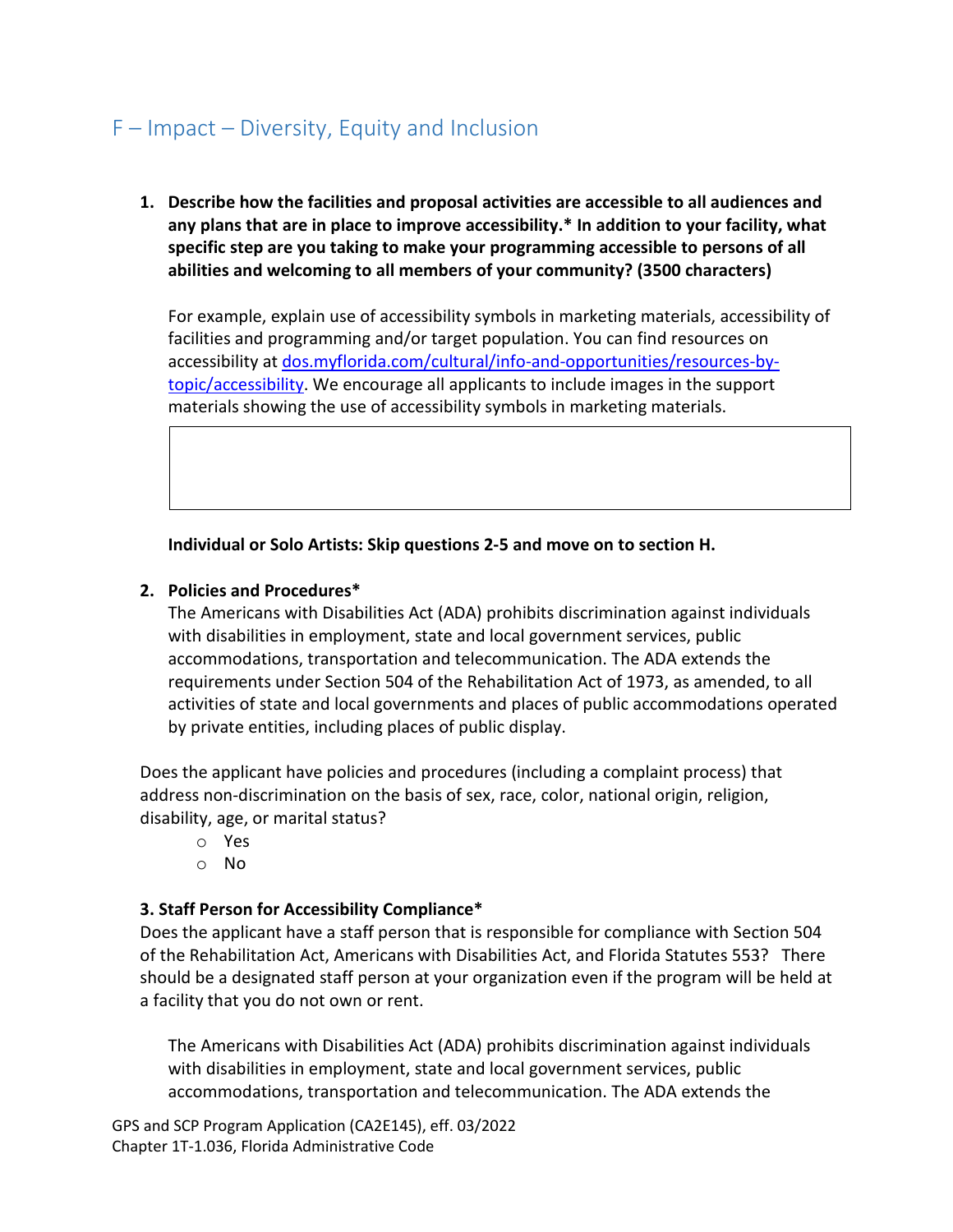## F – Impact – Diversity, Equity and Inclusion

**1. Describe how the facilities and proposal activities are accessible to all audiences and any plans that are in place to improve accessibility.\* In addition to your facility, what specific step are you taking to make your programming accessible to persons of all abilities and welcoming to all members of your community? (3500 characters)**

For example, explain use of accessibility symbols in marketing materials, accessibility of facilities and programming and/or target population. You can find resources on accessibility at [dos.myflorida.com/cultural/info-and-opportunities/resources-by](http://dos.myflorida.com/cultural/info-and-opportunities/resources-by-topic/accessibility/)[topic/accessibility.](http://dos.myflorida.com/cultural/info-and-opportunities/resources-by-topic/accessibility/) We encourage all applicants to include images in the support materials showing the use of accessibility symbols in marketing materials.

**Individual or Solo Artists: Skip questions 2-5 and move on to section H.**

#### **2. Policies and Procedures\***

The Americans with Disabilities Act (ADA) prohibits discrimination against individuals with disabilities in employment, state and local government services, public accommodations, transportation and telecommunication. The ADA extends the requirements under Section 504 of the Rehabilitation Act of 1973, as amended, to all activities of state and local governments and places of public accommodations operated by private entities, including places of public display.

Does the applicant have policies and procedures (including a complaint process) that address non-discrimination on the basis of sex, race, color, national origin, religion, disability, age, or marital status?

- o Yes
- o No

## **3. Staff Person for Accessibility Compliance\***

Does the applicant have a staff person that is responsible for compliance with Section 504 of the Rehabilitation Act, Americans with Disabilities Act, and Florida Statutes 553? There should be a designated staff person at your organization even if the program will be held at a facility that you do not own or rent.

The Americans with Disabilities Act (ADA) prohibits discrimination against individuals with disabilities in employment, state and local government services, public accommodations, transportation and telecommunication. The ADA extends the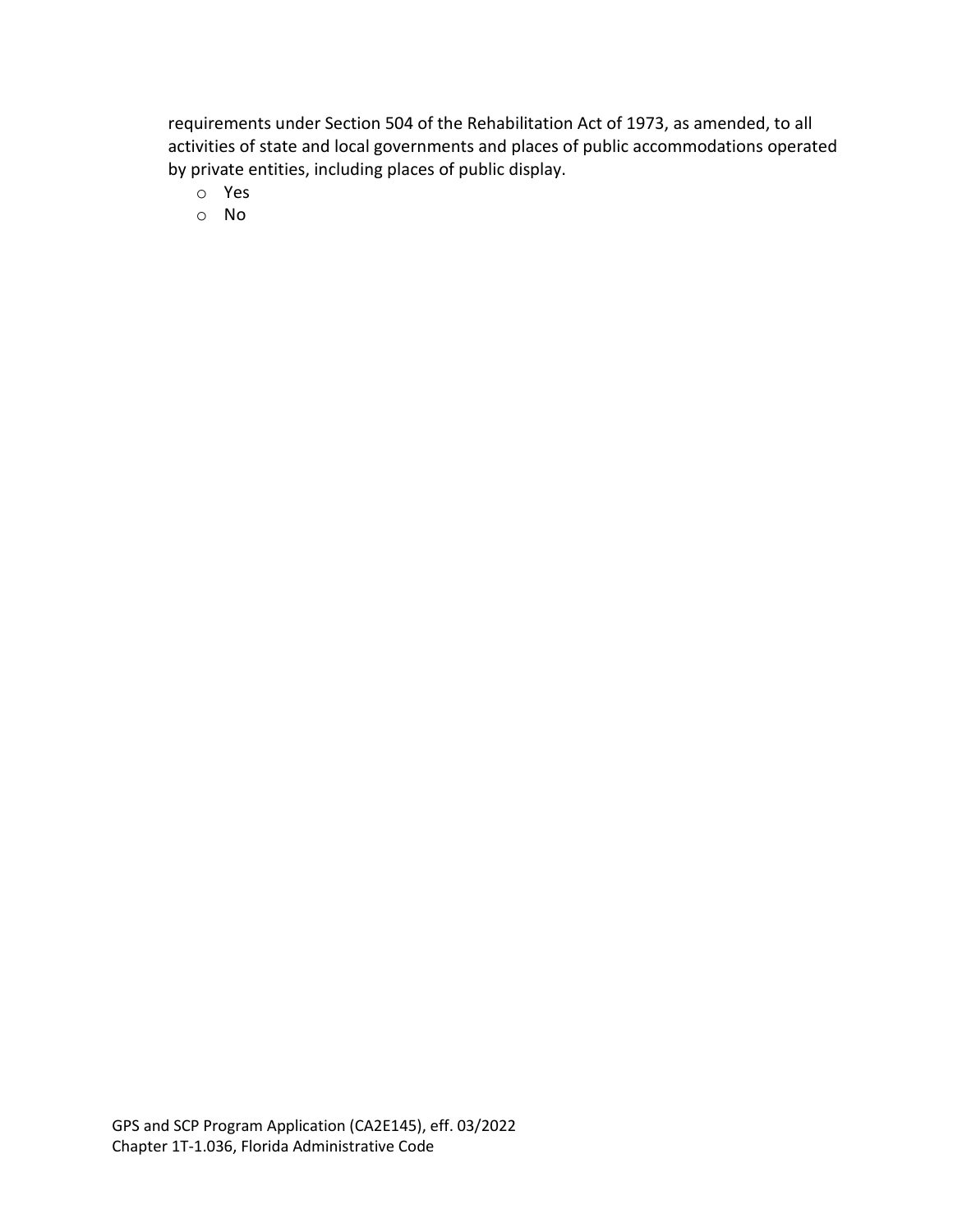requirements under Section 504 of the Rehabilitation Act of 1973, as amended, to all activities of state and local governments and places of public accommodations operated by private entities, including places of public display.

- o Yes
- o No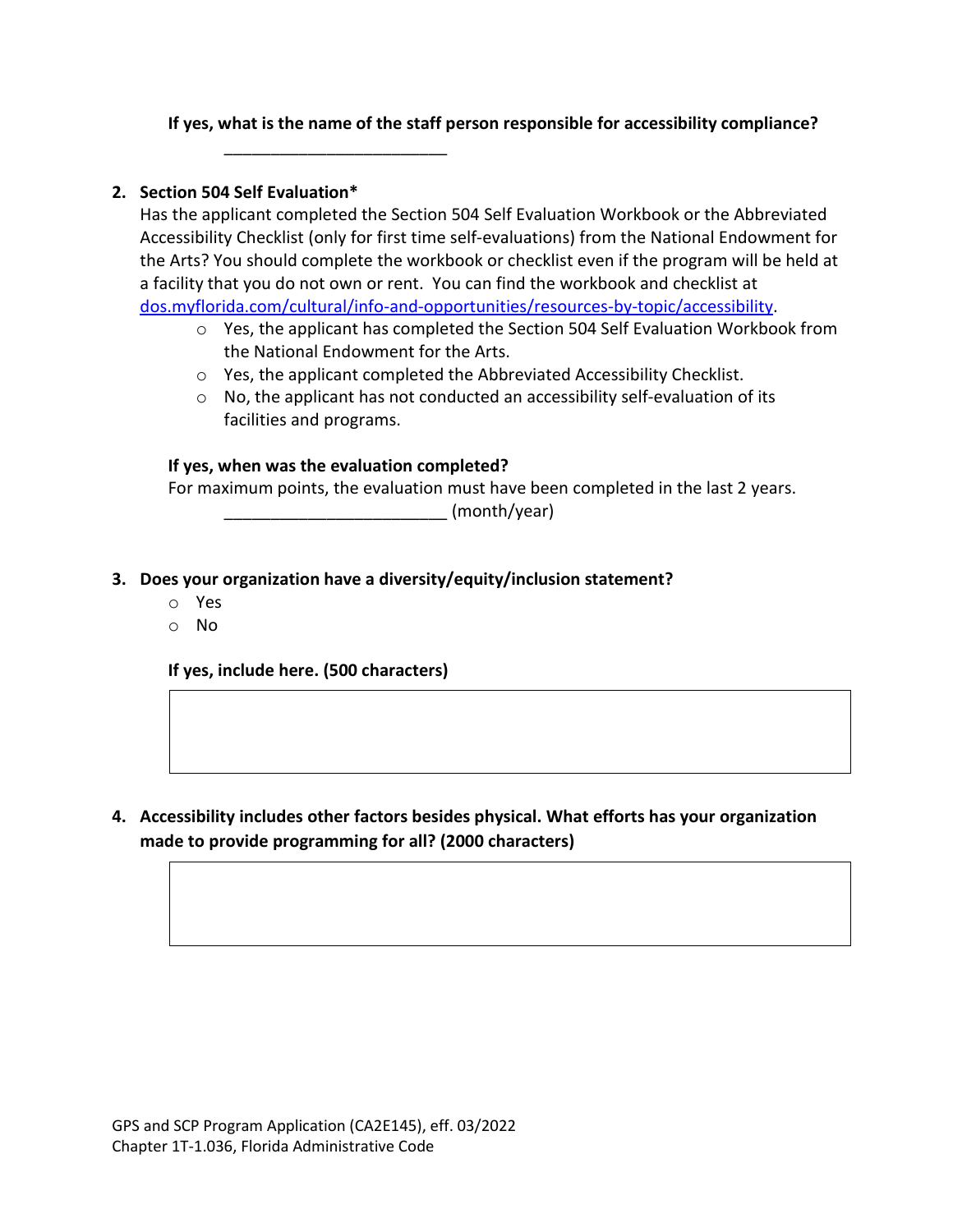### **If yes, what is the name of the staff person responsible for accessibility compliance?**

\_\_\_\_\_\_\_\_\_\_\_\_\_\_\_\_\_\_\_\_\_\_\_\_

#### **2. Section 504 Self Evaluation\***

Has the applicant completed the Section 504 Self Evaluation Workbook or the Abbreviated Accessibility Checklist (only for first time self-evaluations) from the National Endowment for the Arts? You should complete the workbook or checklist even if the program will be held at a facility that you do not own or rent. You can find the workbook and checklist at [dos.myflorida.com/cultural/info-and-opportunities/resources-by-topic/accessibility.](http://dos.myflorida.com/cultural/info-and-opportunities/resources-by-topic/accessibility/)

- o Yes, the applicant has completed the Section 504 Self Evaluation Workbook from the National Endowment for the Arts.
- $\circ$  Yes, the applicant completed the Abbreviated Accessibility Checklist.
- o No, the applicant has not conducted an accessibility self-evaluation of its facilities and programs.

#### **If yes, when was the evaluation completed?**

For maximum points, the evaluation must have been completed in the last 2 years.

\_\_\_\_\_\_\_\_\_\_\_\_\_\_\_\_\_\_\_\_\_\_\_\_ (month/year)

## **3. Does your organization have a diversity/equity/inclusion statement?**

- o Yes
- o No

**If yes, include here. (500 characters)**

**4. Accessibility includes other factors besides physical. What efforts has your organization made to provide programming for all? (2000 characters)**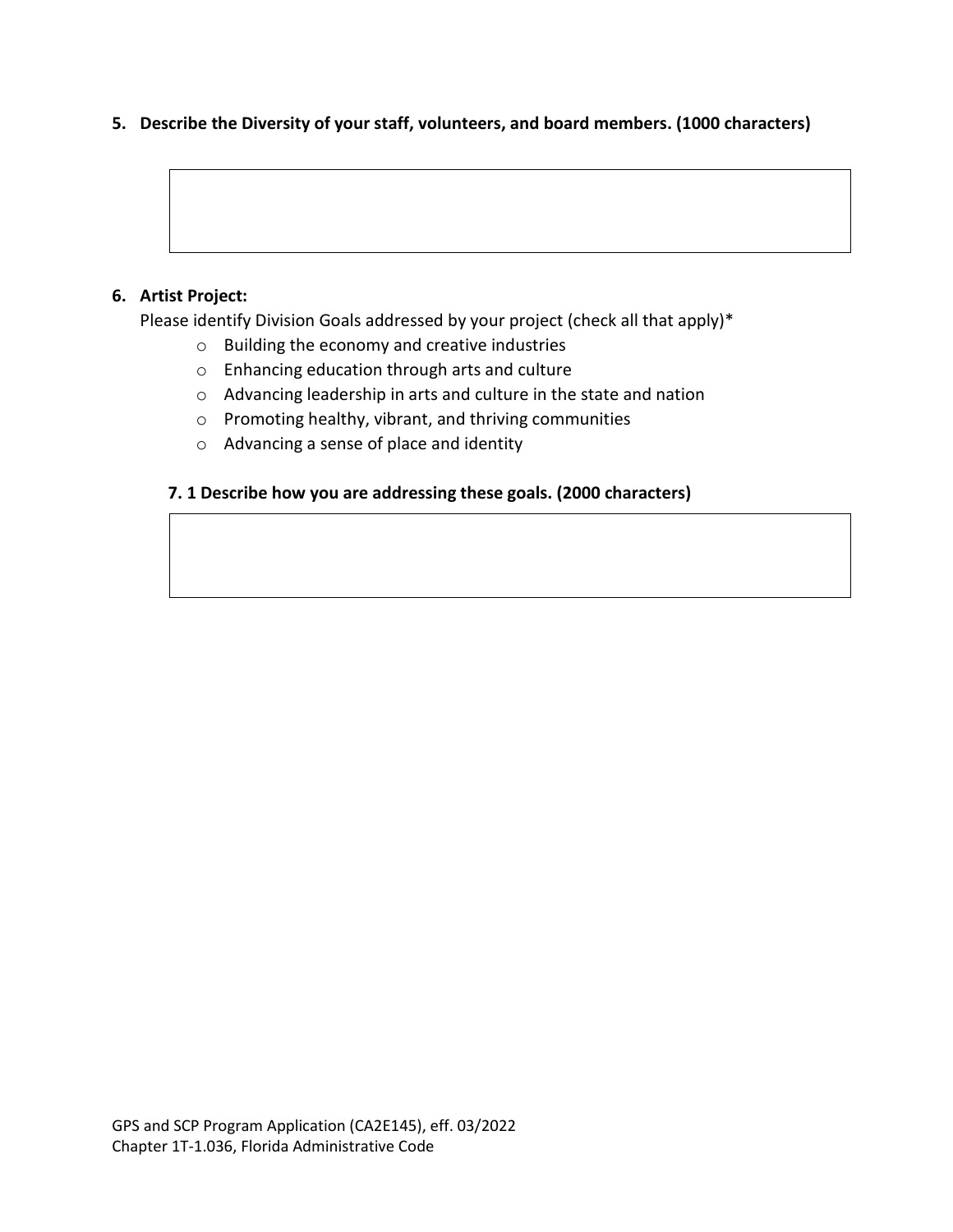#### **5. Describe the Diversity of your staff, volunteers, and board members. (1000 characters)**

#### **6. Artist Project:**

Please identify Division Goals addressed by your project (check all that apply)\*

- o Building the economy and creative industries
- o Enhancing education through arts and culture
- o Advancing leadership in arts and culture in the state and nation
- o Promoting healthy, vibrant, and thriving communities
- o Advancing a sense of place and identity

#### **7. 1 Describe how you are addressing these goals. (2000 characters)**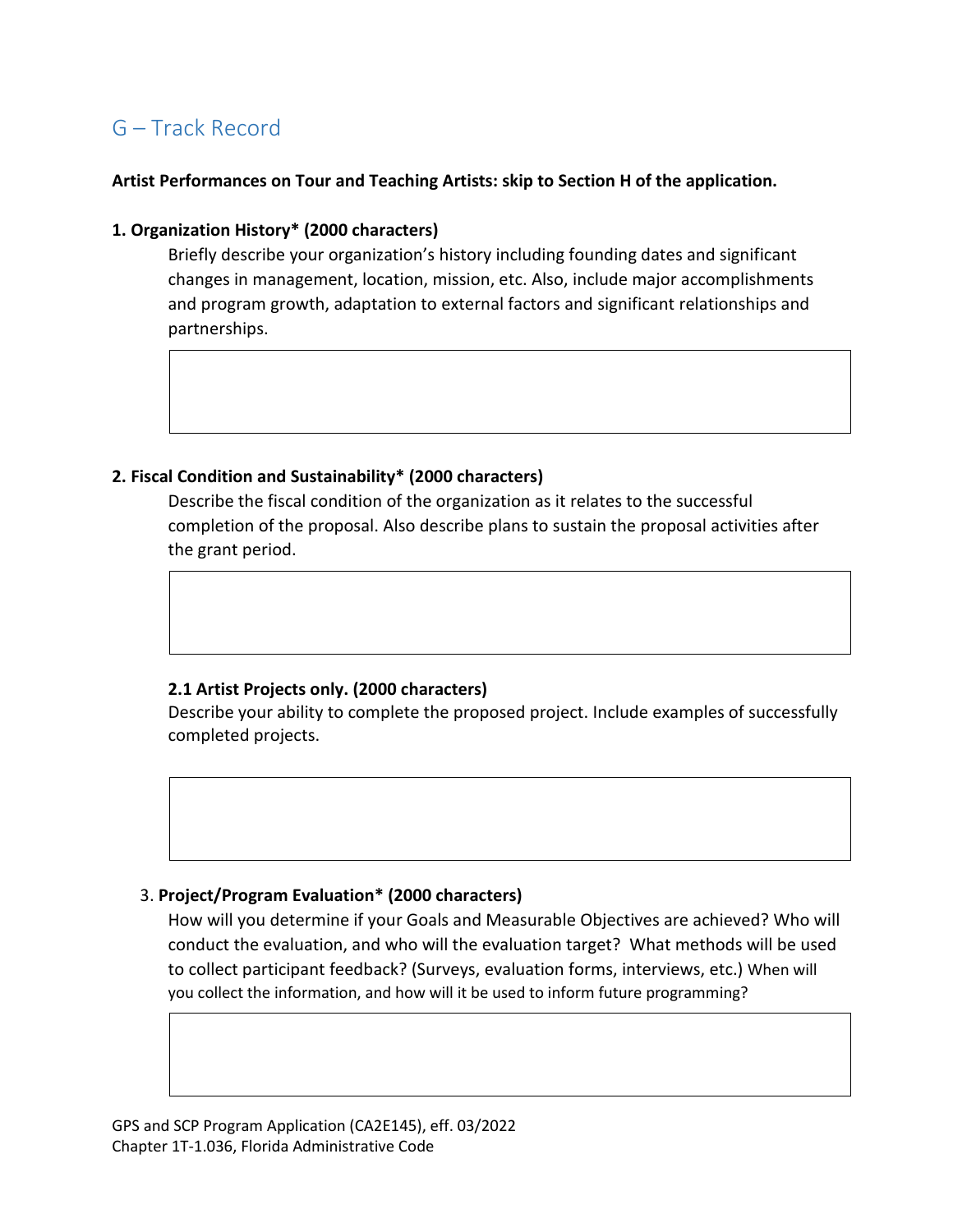## G – Track Record

#### **Artist Performances on Tour and Teaching Artists: skip to Section H of the application.**

#### **1. Organization History\* (2000 characters)**

Briefly describe your organization's history including founding dates and significant changes in management, location, mission, etc. Also, include major accomplishments and program growth, adaptation to external factors and significant relationships and partnerships.

#### **2. Fiscal Condition and Sustainability\* (2000 characters)**

Describe the fiscal condition of the organization as it relates to the successful completion of the proposal. Also describe plans to sustain the proposal activities after the grant period.

## **2.1 Artist Projects only. (2000 characters)**

Describe your ability to complete the proposed project. Include examples of successfully completed projects.

## 3. **Project/Program Evaluation\* (2000 characters)**

How will you determine if your Goals and Measurable Objectives are achieved? Who will conduct the evaluation, and who will the evaluation target? What methods will be used to collect participant feedback? (Surveys, evaluation forms, interviews, etc.) When will you collect the information, and how will it be used to inform future programming?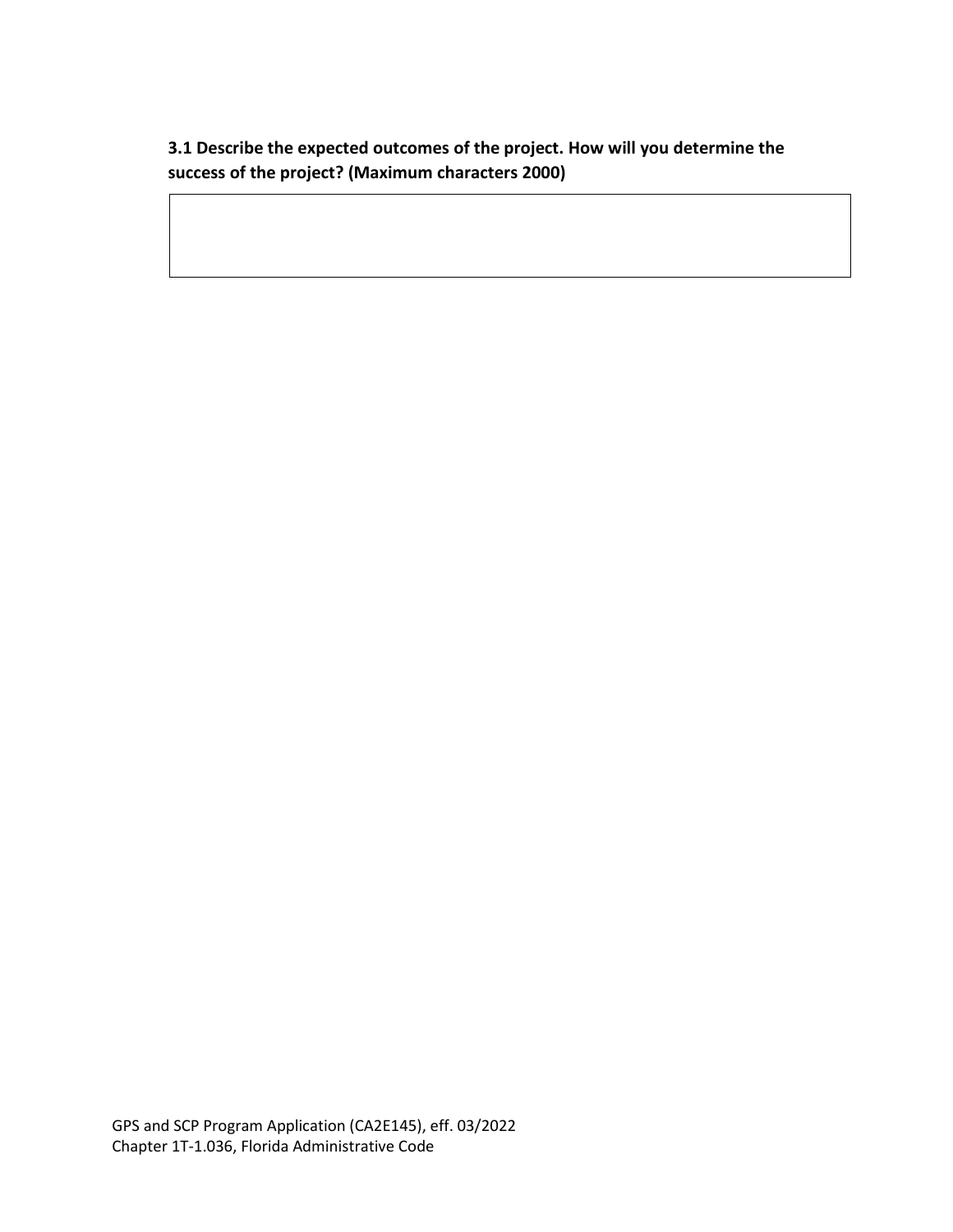**3.1 Describe the expected outcomes of the project. How will you determine the success of the project? (Maximum characters 2000)**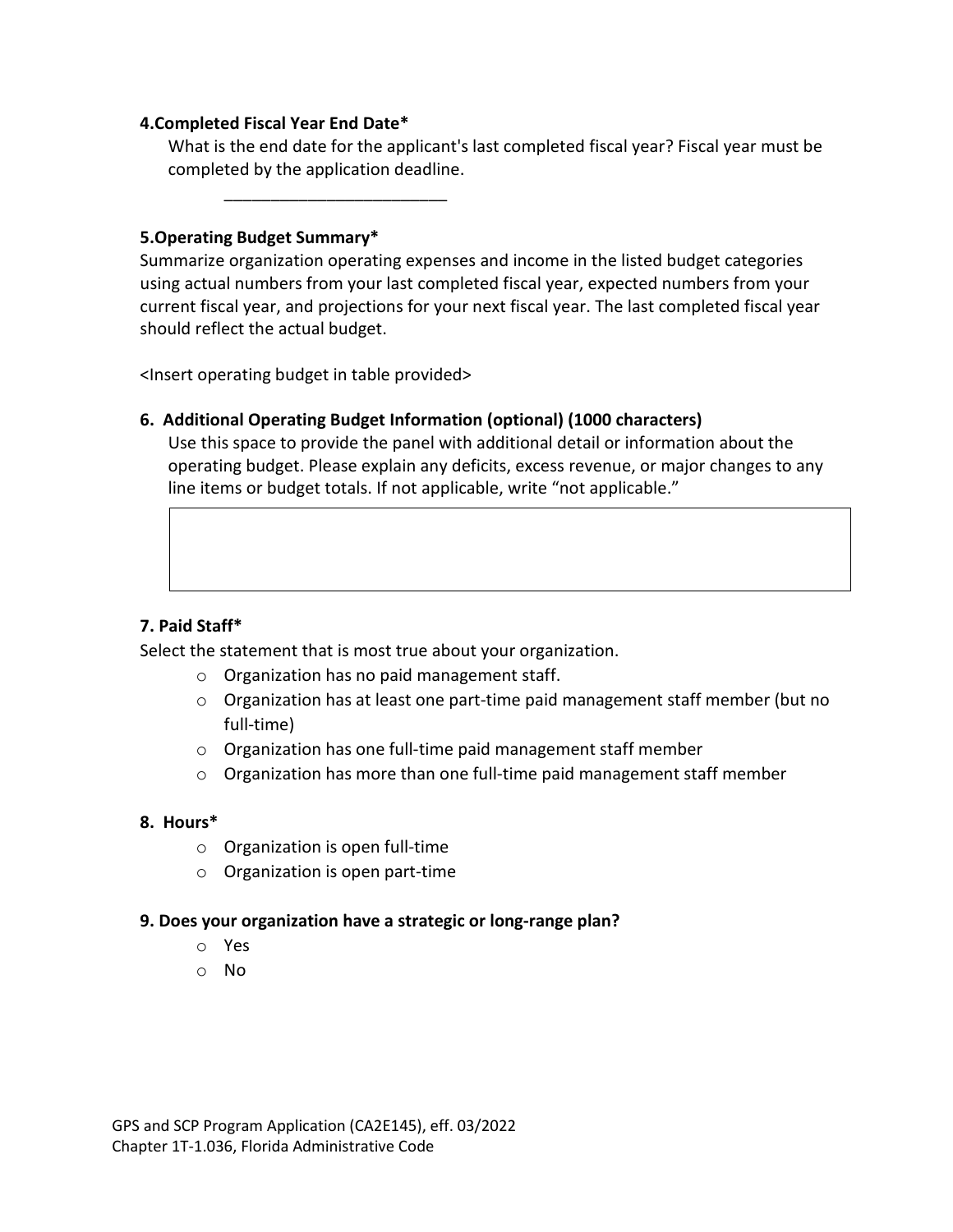#### **4.Completed Fiscal Year End Date\***

What is the end date for the applicant's last completed fiscal year? Fiscal year must be completed by the application deadline.

#### **5.Operating Budget Summary\***

Summarize organization operating expenses and income in the listed budget categories using actual numbers from your last completed fiscal year, expected numbers from your current fiscal year, and projections for your next fiscal year. The last completed fiscal year should reflect the actual budget.

<Insert operating budget in table provided>

\_\_\_\_\_\_\_\_\_\_\_\_\_\_\_\_\_\_\_\_\_\_\_\_

## **6. Additional Operating Budget Information (optional) (1000 characters)**

Use this space to provide the panel with additional detail or information about the operating budget. Please explain any deficits, excess revenue, or major changes to any line items or budget totals. If not applicable, write "not applicable."

## **7. Paid Staff\***

Select the statement that is most true about your organization.

- o Organization has no paid management staff.
- o Organization has at least one part-time paid management staff member (but no full-time)
- o Organization has one full-time paid management staff member
- $\circ$  Organization has more than one full-time paid management staff member

## **8. Hours\***

- o Organization is open full-time
- o Organization is open part-time

## **9. Does your organization have a strategic or long-range plan?**

- o Yes
- o No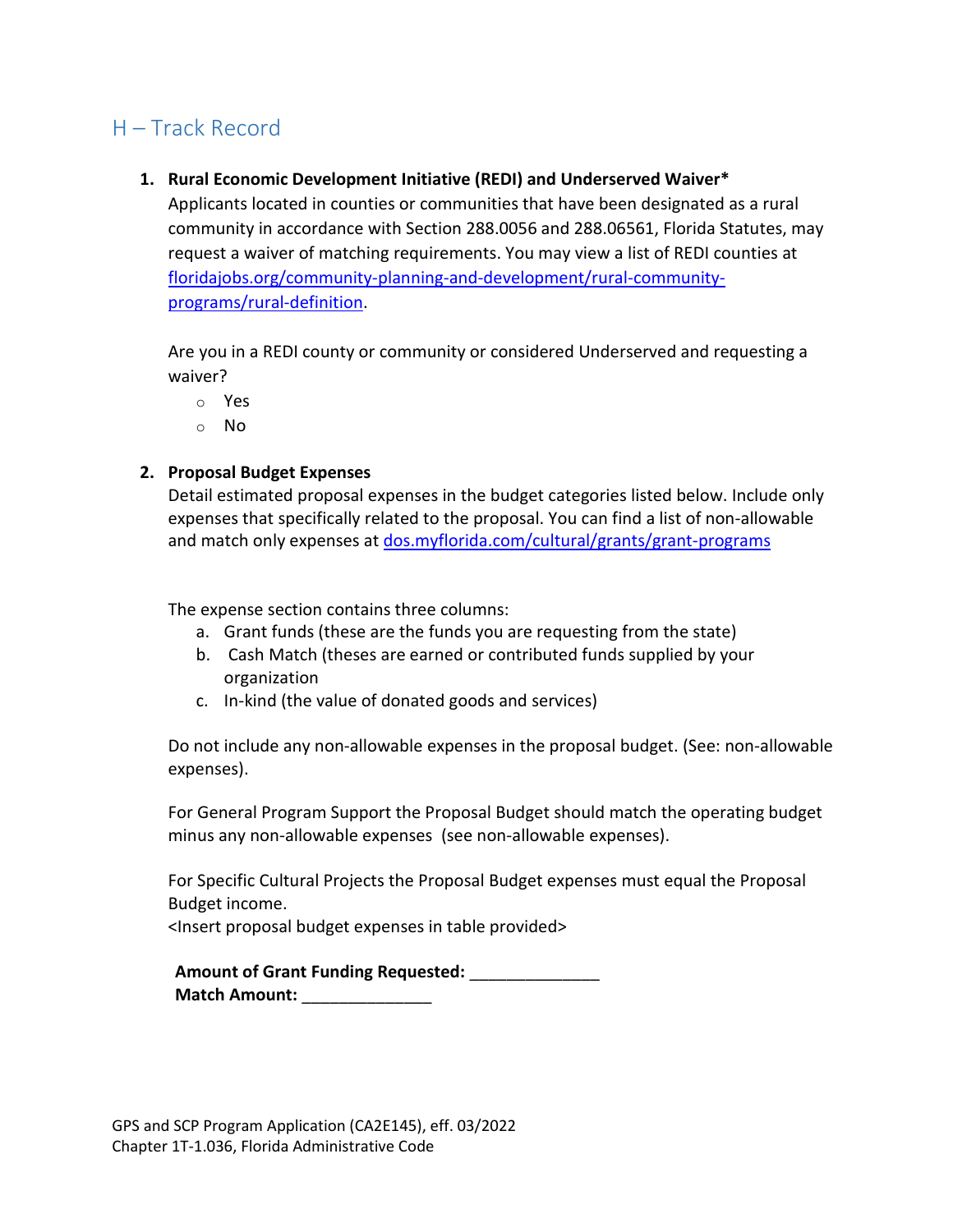## H – Track Record

## **1. Rural Economic Development Initiative (REDI) and Underserved Waiver\***

Applicants located in counties or communities that have been designated as a rural community in accordance with Section 288.0056 and 288.06561, Florida Statutes, may request a waiver of matching requirements. You may view a list of REDI counties at [floridajobs.org/community-planning-and-development/rural-community](https://floridajobs.org/community-planning-and-development/rural-community-programs/rural-definition)[programs/rural-definition.](https://floridajobs.org/community-planning-and-development/rural-community-programs/rural-definition)

Are you in a REDI county or community or considered Underserved and requesting a waiver?

- o Yes
- o No

#### **2. Proposal Budget Expenses**

Detail estimated proposal expenses in the budget categories listed below. Include only expenses that specifically related to the proposal. You can find a list of non-allowable and match only expenses at [dos.myflorida.com/cultural/grants/grant-programs](http://dos.myflorida.com/cultural/grants/grant-programs/)

The expense section contains three columns:

- a. Grant funds (these are the funds you are requesting from the state)
- b. Cash Match (theses are earned or contributed funds supplied by your organization
- c. In-kind (the value of donated goods and services)

Do not include any non-allowable expenses in the proposal budget. (See: non-allowable expenses).

For General Program Support the Proposal Budget should match the operating budget minus any non-allowable expenses (see non-allowable expenses).

For Specific Cultural Projects the Proposal Budget expenses must equal the Proposal Budget income.

<Insert proposal budget expenses in table provided>

**Amount of Grant Funding Requested:** \_\_\_\_\_\_\_\_\_\_\_\_\_\_ **Match Amount:**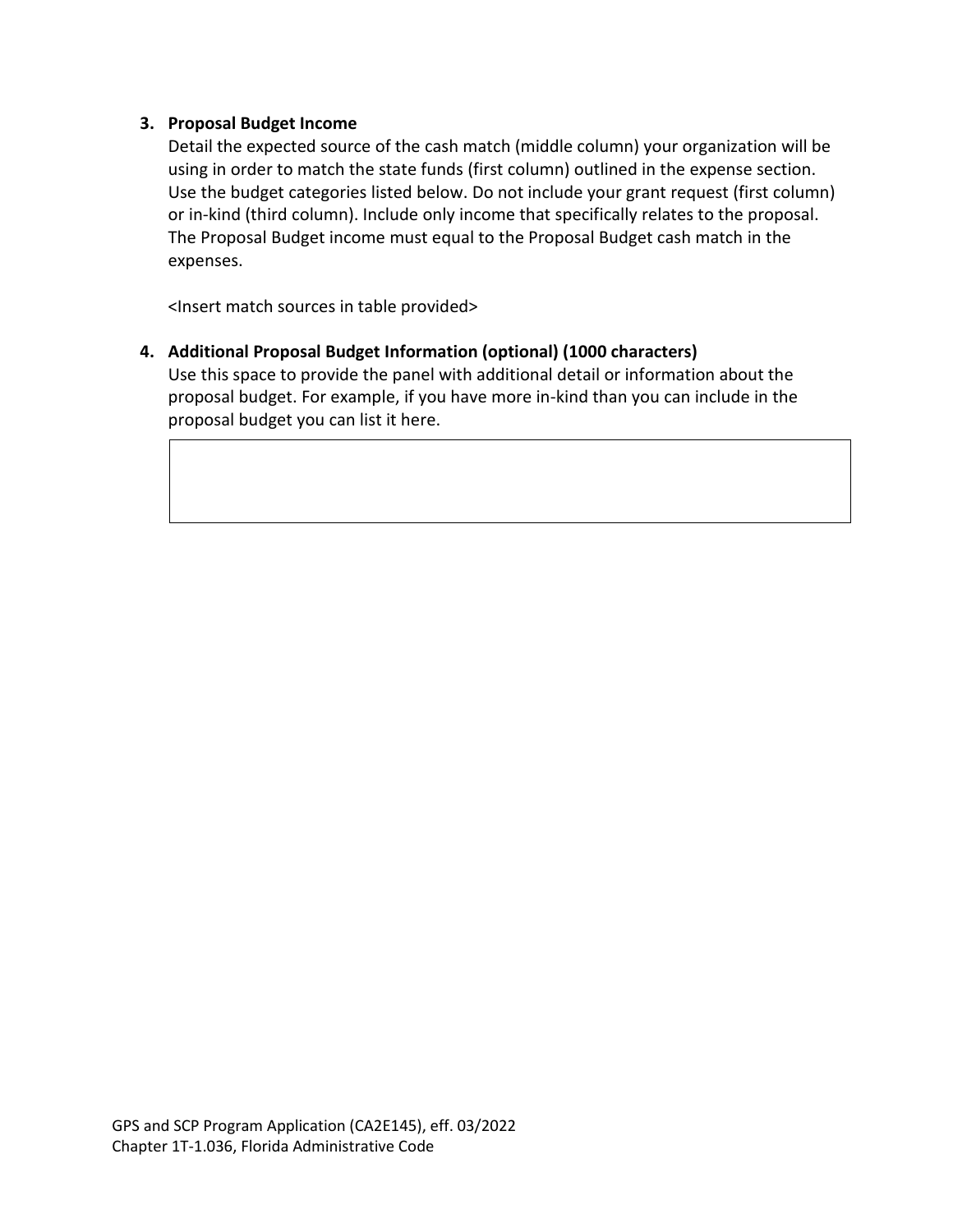#### **3. Proposal Budget Income**

Detail the expected source of the cash match (middle column) your organization will be using in order to match the state funds (first column) outlined in the expense section. Use the budget categories listed below. Do not include your grant request (first column) or in-kind (third column). Include only income that specifically relates to the proposal. The Proposal Budget income must equal to the Proposal Budget cash match in the expenses.

<Insert match sources in table provided>

**4. Additional Proposal Budget Information (optional) (1000 characters)** Use this space to provide the panel with additional detail or information about the proposal budget. For example, if you have more in-kind than you can include in the proposal budget you can list it here.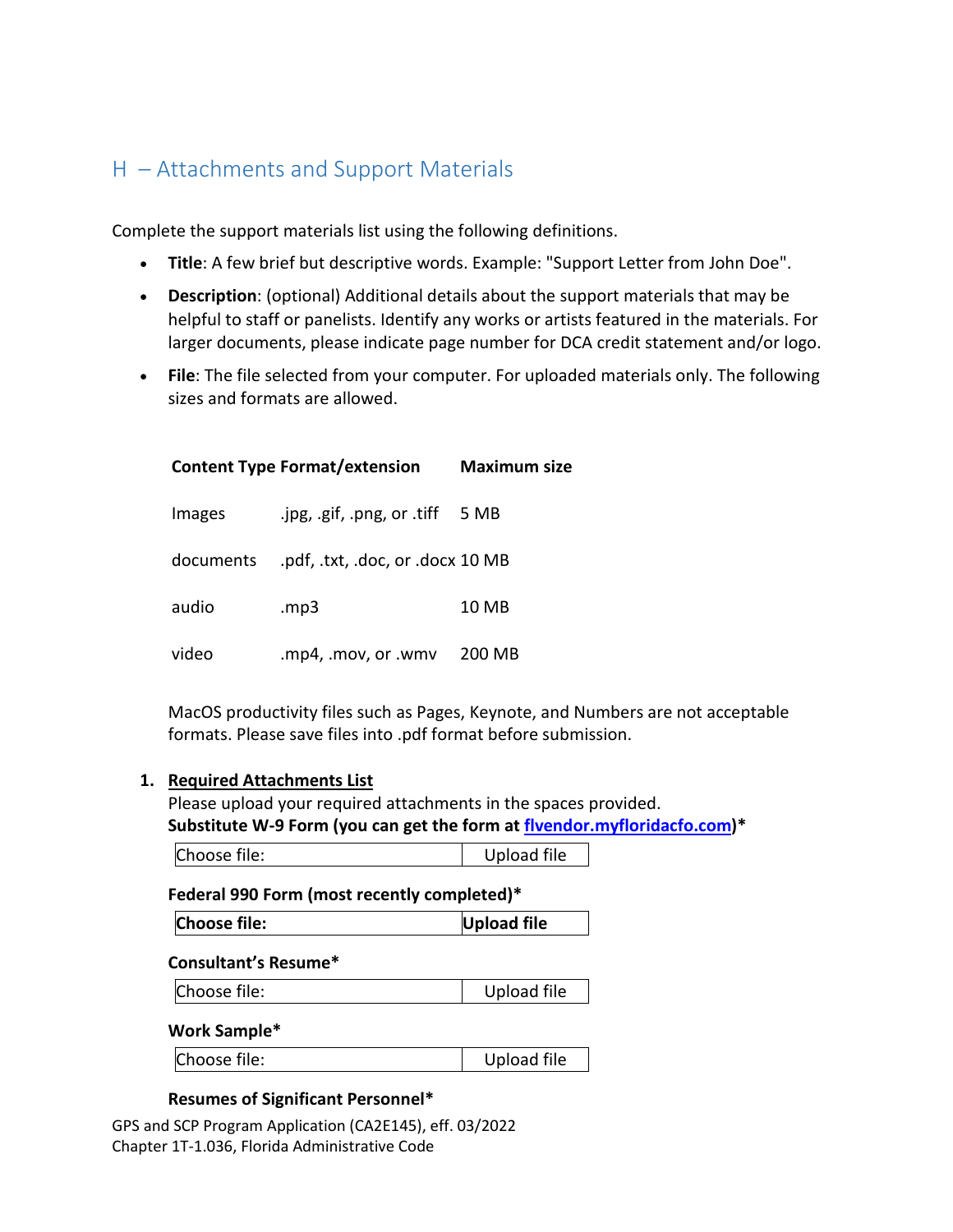## H – Attachments and Support Materials

Complete the support materials list using the following definitions.

- **Title**: A few brief but descriptive words. Example: "Support Letter from John Doe".
- **Description**: (optional) Additional details about the support materials that may be helpful to staff or panelists. Identify any works or artists featured in the materials. For larger documents, please indicate page number for DCA credit statement and/or logo.
- **File**: The file selected from your computer. For uploaded materials only. The following sizes and formats are allowed.

|           | <b>Content Type Format/extension</b> | <b>Maximum size</b> |
|-----------|--------------------------------------|---------------------|
| Images    | .jpg, .gif, .png, or .tiff           | 5 MB                |
| documents | .pdf, .txt, .doc, or .docx 10 MB     |                     |
| audio     | mp3.                                 | 10 MB               |
| video     | .mp4, .mov, or .wmv                  | 200 MB              |

MacOS productivity files such as Pages, Keynote, and Numbers are not acceptable formats. Please save files into .pdf format before submission.

#### **1. Required Attachments List**

Please upload your required attachments in the spaces provided. **Substitute W-9 Form (you can get the form at [flvendor.myfloridacfo.com\)](https://flvendor.myfloridacfo.com/)\*** 

Choose file: Upload file

#### **Federal 990 Form (most recently completed)\***

| <b>Choose file:</b><br>Upload file |
|------------------------------------|
|------------------------------------|

#### **Consultant's Resume\***

| Choose file: | Upload file |
|--------------|-------------|
|              |             |

#### **Work Sample\***

#### **Resumes of Significant Personnel\***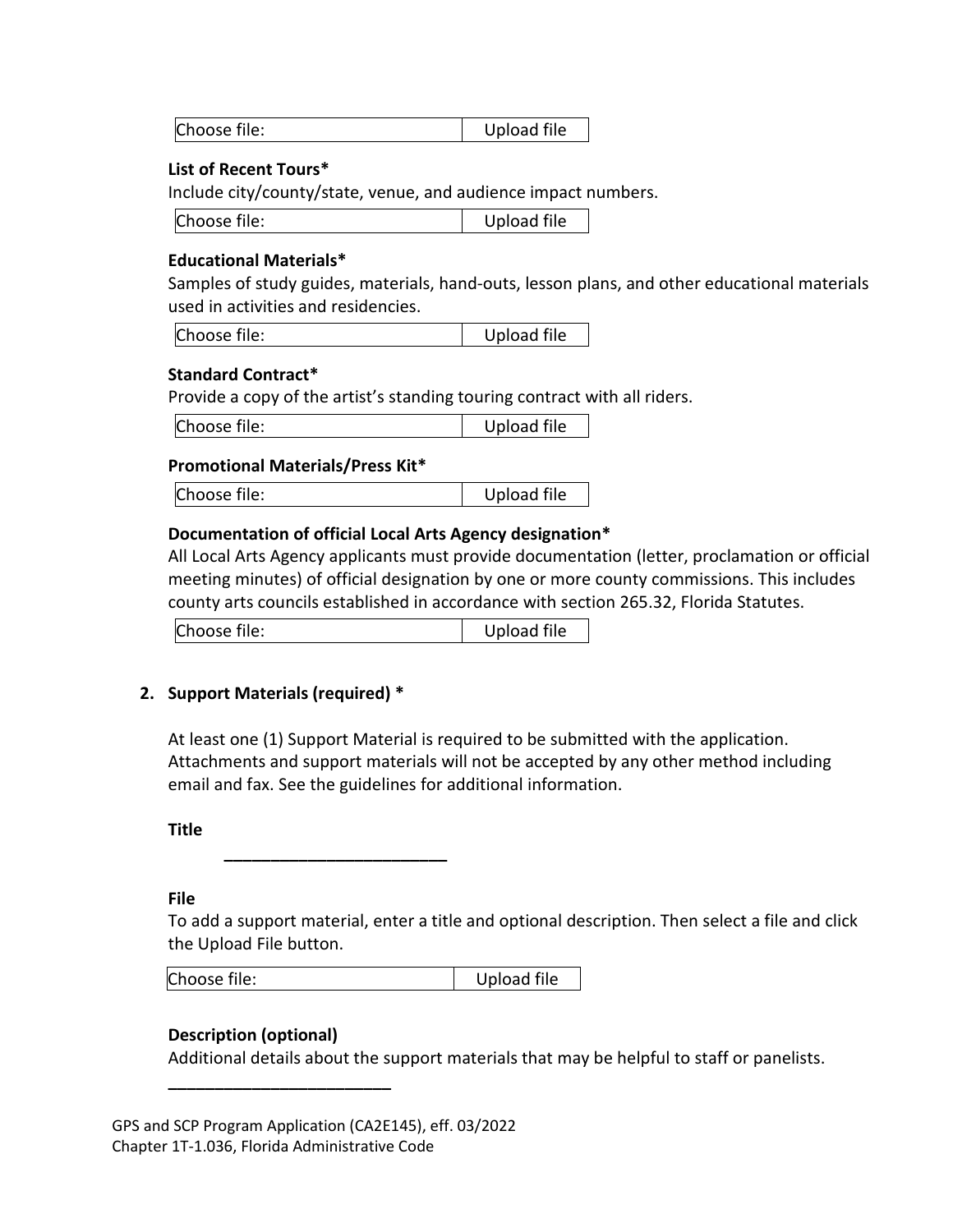#### **List of Recent Tours\***

Include city/county/state, venue, and audience impact numbers.

| Choose file: | Upload file |
|--------------|-------------|
|--------------|-------------|

#### **Educational Materials\***

Samples of study guides, materials, hand-outs, lesson plans, and other educational materials used in activities and residencies.

| Choose file: | Upload file |
|--------------|-------------|
|--------------|-------------|

#### **Standard Contract\***

Provide a copy of the artist's standing touring contract with all riders.

| Choose file: | Upload file |
|--------------|-------------|
|--------------|-------------|

#### **Promotional Materials/Press Kit\***

Choose file: Upload file

#### **Documentation of official Local Arts Agency designation\***

All Local Arts Agency applicants must provide documentation (letter, proclamation or official meeting minutes) of official designation by one or more county commissions. This includes county arts councils established in accordance with section 265.32, Florida Statutes.

| Choose file: | Upload file |
|--------------|-------------|
|--------------|-------------|

## **2. Support Materials (required) \***

At least one (1) Support Material is required to be submitted with the application. Attachments and support materials will not be accepted by any other method including email and fax. See the guidelines for additional information.

**Title**

**\_\_\_\_\_\_\_\_\_\_\_\_\_\_\_\_\_\_\_\_\_\_\_\_**

**File**

To add a support material, enter a title and optional description. Then select a file and click the Upload File button.

#### **Description (optional)**

**\_\_\_\_\_\_\_\_\_\_\_\_\_\_\_\_\_\_\_\_\_\_\_\_**

Additional details about the support materials that may be helpful to staff or panelists.

GPS and SCP Program Application (CA2E145), eff. 03/2022 Chapter 1T-1.036, Florida Administrative Code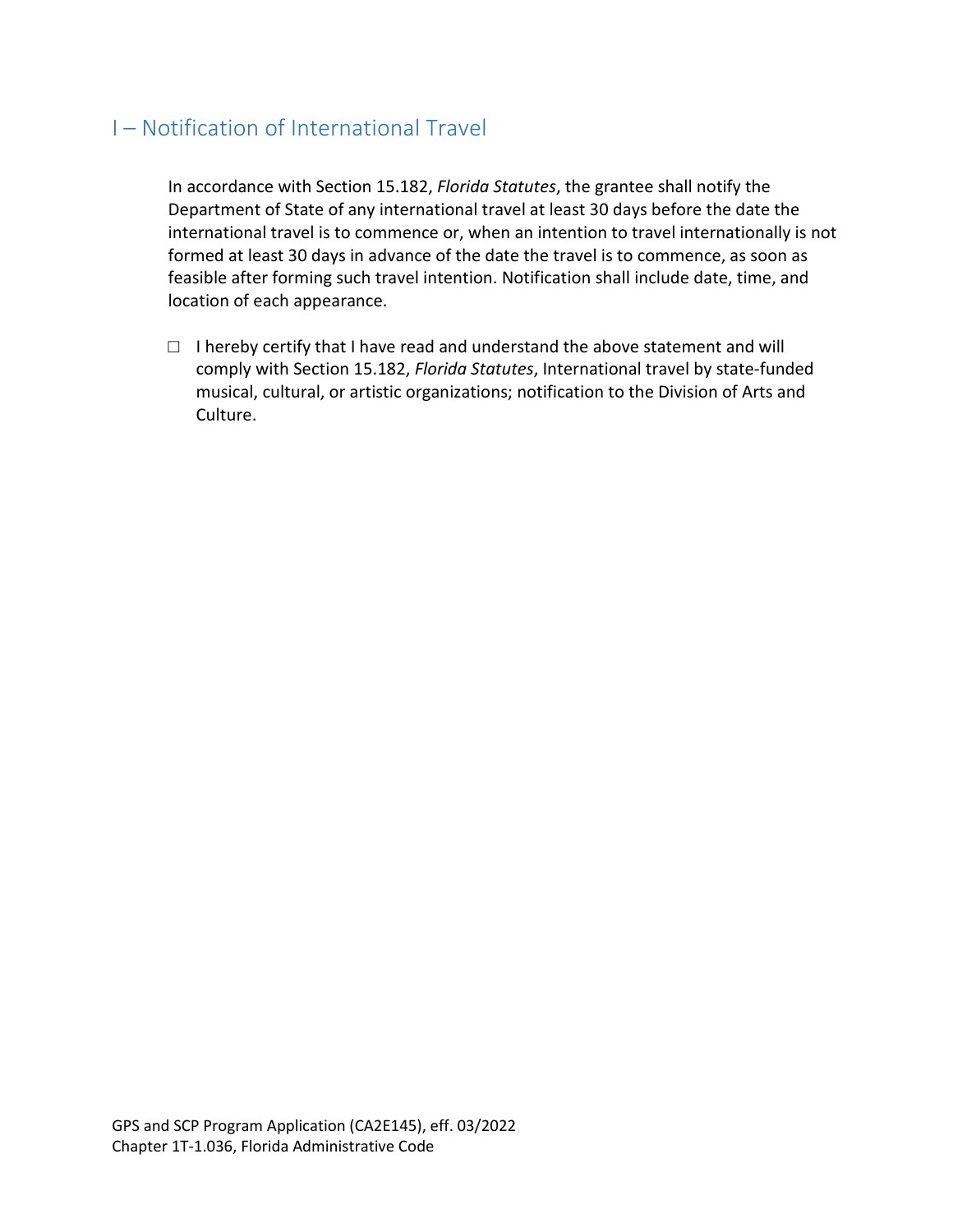## I – Notification of International Travel

In accordance with Section 15.182, *Florida Statutes*, the grantee shall notify the Department of State of any international travel at least 30 days before the date the international travel is to commence or, when an intention to travel internationally is not formed at least 30 days in advance of the date the travel is to commence, as soon as feasible after forming such travel intention. Notification shall include date, time, and location of each appearance.

 $\Box$  I hereby certify that I have read and understand the above statement and will comply with Section 15.182, *Florida Statutes*, International travel by state-funded musical, cultural, or artistic organizations; notification to the Division of Arts and Culture.